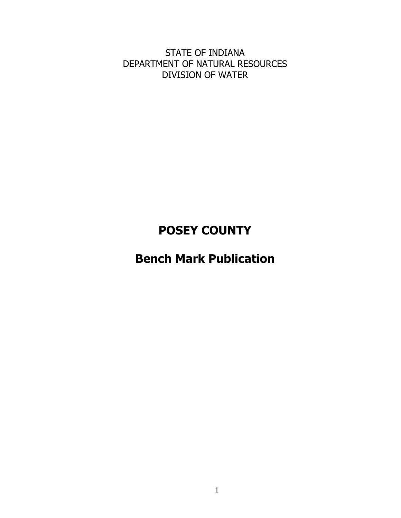STATE OF INDIANA DEPARTMENT OF NATURAL RESOURCES DIVISION OF WATER

# **POSEY COUNTY**

# **Bench Mark Publication**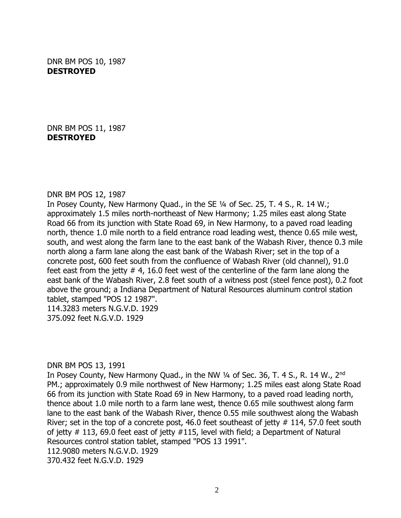DNR BM POS 10, 1987 **DESTROYED**

DNR BM POS 11, 1987 **DESTROYED**

#### DNR BM POS 12, 1987

In Posey County, New Harmony Quad., in the SE ¼ of Sec. 25, T. 4 S., R. 14 W.; approximately 1.5 miles north-northeast of New Harmony; 1.25 miles east along State Road 66 from its junction with State Road 69, in New Harmony, to a paved road leading north, thence 1.0 mile north to a field entrance road leading west, thence 0.65 mile west, south, and west along the farm lane to the east bank of the Wabash River, thence 0.3 mile north along a farm lane along the east bank of the Wabash River; set in the top of a concrete post, 600 feet south from the confluence of Wabash River (old channel), 91.0 feet east from the jetty  $# 4$ , 16.0 feet west of the centerline of the farm lane along the east bank of the Wabash River, 2.8 feet south of a witness post (steel fence post), 0.2 foot above the ground; a Indiana Department of Natural Resources aluminum control station tablet, stamped "POS 12 1987". 114.3283 meters N.G.V.D. 1929

375.092 feet N.G.V.D. 1929

DNR BM POS 13, 1991

In Posey County, New Harmony Quad., in the NW 1/4 of Sec. 36, T. 4 S., R. 14 W., 2<sup>nd</sup> PM.; approximately 0.9 mile northwest of New Harmony; 1.25 miles east along State Road 66 from its junction with State Road 69 in New Harmony, to a paved road leading north, thence about 1.0 mile north to a farm lane west, thence 0.65 mile southwest along farm lane to the east bank of the Wabash River, thence 0.55 mile southwest along the Wabash River; set in the top of a concrete post, 46.0 feet southeast of jetty  $#$  114, 57.0 feet south of jetty # 113, 69.0 feet east of jetty #115, level with field; a Department of Natural Resources control station tablet, stamped "POS 13 1991". 112.9080 meters N.G.V.D. 1929 370.432 feet N.G.V.D. 1929

2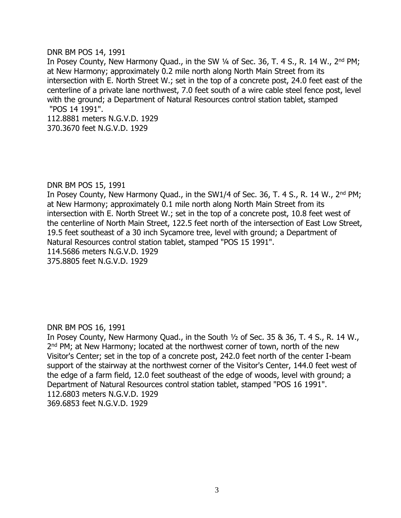## DNR BM POS 14, 1991

In Posey County, New Harmony Quad., in the SW 1/4 of Sec. 36, T. 4 S., R. 14 W., 2<sup>nd</sup> PM; at New Harmony; approximately 0.2 mile north along North Main Street from its intersection with E. North Street W.; set in the top of a concrete post, 24.0 feet east of the centerline of a private lane northwest, 7.0 feet south of a wire cable steel fence post, level with the ground; a Department of Natural Resources control station tablet, stamped "POS 14 1991".

112.8881 meters N.G.V.D. 1929 370.3670 feet N.G.V.D. 1929

# DNR BM POS 15, 1991

In Posey County, New Harmony Quad., in the SW1/4 of Sec. 36, T. 4 S., R. 14 W., 2<sup>nd</sup> PM; at New Harmony; approximately 0.1 mile north along North Main Street from its intersection with E. North Street W.; set in the top of a concrete post, 10.8 feet west of the centerline of North Main Street, 122.5 feet north of the intersection of East Low Street, 19.5 feet southeast of a 30 inch Sycamore tree, level with ground; a Department of Natural Resources control station tablet, stamped "POS 15 1991". 114.5686 meters N.G.V.D. 1929

375.8805 feet N.G.V.D. 1929

# DNR BM POS 16, 1991

In Posey County, New Harmony Quad., in the South ½ of Sec. 35 & 36, T. 4 S., R. 14 W., 2<sup>nd</sup> PM; at New Harmony; located at the northwest corner of town, north of the new Visitor's Center; set in the top of a concrete post, 242.0 feet north of the center I-beam support of the stairway at the northwest corner of the Visitor's Center, 144.0 feet west of the edge of a farm field, 12.0 feet southeast of the edge of woods, level with ground; a Department of Natural Resources control station tablet, stamped "POS 16 1991". 112.6803 meters N.G.V.D. 1929 369.6853 feet N.G.V.D. 1929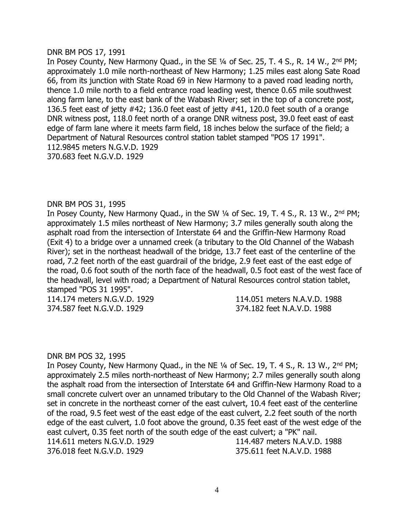#### DNR BM POS 17, 1991

In Posey County, New Harmony Quad., in the SE 1/4 of Sec. 25, T. 4 S., R. 14 W., 2<sup>nd</sup> PM; approximately 1.0 mile north-northeast of New Harmony; 1.25 miles east along Sate Road 66, from its junction with State Road 69 in New Harmony to a paved road leading north, thence 1.0 mile north to a field entrance road leading west, thence 0.65 mile southwest along farm lane, to the east bank of the Wabash River; set in the top of a concrete post, 136.5 feet east of jetty #42; 136.0 feet east of jetty #41, 120.0 feet south of a orange DNR witness post, 118.0 feet north of a orange DNR witness post, 39.0 feet east of east edge of farm lane where it meets farm field, 18 inches below the surface of the field; a Department of Natural Resources control station tablet stamped "POS 17 1991". 112.9845 meters N.G.V.D. 1929 370.683 feet N.G.V.D. 1929

## DNR BM POS 31, 1995

In Posey County, New Harmony Quad., in the SW 1/4 of Sec. 19, T. 4 S., R. 13 W., 2<sup>nd</sup> PM; approximately 1.5 miles northeast of New Harmony; 3.7 miles generally south along the asphalt road from the intersection of Interstate 64 and the Griffin-New Harmony Road (Exit 4) to a bridge over a unnamed creek (a tributary to the Old Channel of the Wabash River); set in the northeast headwall of the bridge, 13.7 feet east of the centerline of the road, 7.2 feet north of the east guardrail of the bridge, 2.9 feet east of the east edge of the road, 0.6 foot south of the north face of the headwall, 0.5 foot east of the west face of the headwall, level with road; a Department of Natural Resources control station tablet, stamped "POS 31 1995".

114.174 meters N.G.V.D. 1929 114.051 meters N.A.V.D. 1988 374.587 feet N.G.V.D. 1929 374.182 feet N.A.V.D. 1988

## DNR BM POS 32, 1995

In Posey County, New Harmony Quad., in the NE  $\frac{1}{4}$  of Sec. 19, T. 4 S., R. 13 W., 2<sup>nd</sup> PM; approximately 2.5 miles north-northeast of New Harmony; 2.7 miles generally south along the asphalt road from the intersection of Interstate 64 and Griffin-New Harmony Road to a small concrete culvert over an unnamed tributary to the Old Channel of the Wabash River; set in concrete in the northeast corner of the east culvert, 10.4 feet east of the centerline of the road, 9.5 feet west of the east edge of the east culvert, 2.2 feet south of the north edge of the east culvert, 1.0 foot above the ground, 0.35 feet east of the west edge of the east culvert, 0.35 feet north of the south edge of the east culvert; a "PK" nail. 114.611 meters N.G.V.D. 1929 114.487 meters N.A.V.D. 1988 376.018 feet N.G.V.D. 1929 375.611 feet N.A.V.D. 1988

4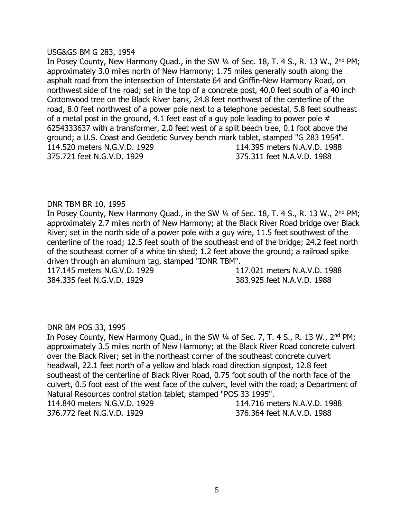## USG&GS BM G 283, 1954

In Posey County, New Harmony Quad., in the SW 1/4 of Sec. 18, T. 4 S., R. 13 W., 2<sup>nd</sup> PM; approximately 3.0 miles north of New Harmony; 1.75 miles generally south along the asphalt road from the intersection of Interstate 64 and Griffin-New Harmony Road, on northwest side of the road; set in the top of a concrete post, 40.0 feet south of a 40 inch Cottonwood tree on the Black River bank, 24.8 feet northwest of the centerline of the road, 8.0 feet northwest of a power pole next to a telephone pedestal, 5.8 feet southeast of a metal post in the ground, 4.1 feet east of a guy pole leading to power pole # 6254333637 with a transformer, 2.0 feet west of a split beech tree, 0.1 foot above the ground; a U.S. Coast and Geodetic Survey bench mark tablet, stamped "G 283 1954". 114.520 meters N.G.V.D. 1929 114.395 meters N.A.V.D. 1988 375.721 feet N.G.V.D. 1929 375.311 feet N.A.V.D. 1988

# DNR TBM BR 10, 1995

In Posey County, New Harmony Quad., in the SW 1/4 of Sec. 18, T. 4 S., R. 13 W., 2<sup>nd</sup> PM; approximately 2.7 miles north of New Harmony; at the Black River Road bridge over Black River; set in the north side of a power pole with a guy wire, 11.5 feet southwest of the centerline of the road; 12.5 feet south of the southeast end of the bridge; 24.2 feet north of the southeast corner of a white tin shed; 1.2 feet above the ground; a railroad spike driven through an aluminum tag, stamped "IDNR TBM".

384.335 feet N.G.V.D. 1929 383.925 feet N.A.V.D. 1988

117.145 meters N.G.V.D. 1929 117.021 meters N.A.V.D. 1988

# DNR BM POS 33, 1995

In Posey County, New Harmony Quad., in the SW 1/4 of Sec. 7, T. 4 S., R. 13 W., 2<sup>nd</sup> PM; approximately 3.5 miles north of New Harmony; at the Black River Road concrete culvert over the Black River; set in the northeast corner of the southeast concrete culvert headwall, 22.1 feet north of a yellow and black road direction signpost, 12.8 feet southeast of the centerline of Black River Road, 0.75 foot south of the north face of the culvert, 0.5 foot east of the west face of the culvert, level with the road; a Department of Natural Resources control station tablet, stamped "POS 33 1995". 114.840 meters N.G.V.D. 1929 114.716 meters N.A.V.D. 1988 376.772 feet N.G.V.D. 1929 376.364 feet N.A.V.D. 1988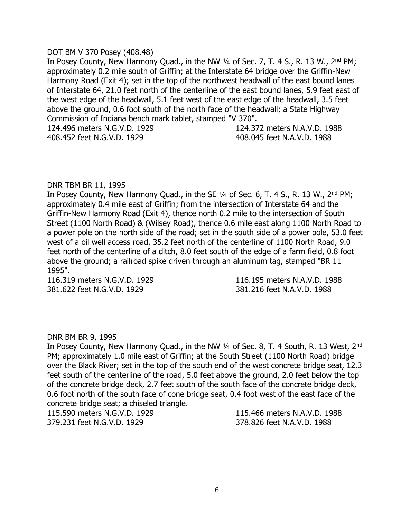## DOT BM V 370 Posey (408.48)

In Posey County, New Harmony Quad., in the NW 1/4 of Sec. 7, T. 4 S., R. 13 W., 2<sup>nd</sup> PM; approximately 0.2 mile south of Griffin; at the Interstate 64 bridge over the Griffin-New Harmony Road (Exit 4); set in the top of the northwest headwall of the east bound lanes of Interstate 64, 21.0 feet north of the centerline of the east bound lanes, 5.9 feet east of the west edge of the headwall, 5.1 feet west of the east edge of the headwall, 3.5 feet above the ground, 0.6 foot south of the north face of the headwall; a State Highway Commission of Indiana bench mark tablet, stamped "V 370". 124.496 meters N.G.V.D. 1929 124.372 meters N.A.V.D. 1988

408.452 feet N.G.V.D. 1929 408.045 feet N.A.V.D. 1988

# DNR TBM BR 11, 1995

In Posey County, New Harmony Quad., in the SE  $\frac{1}{4}$  of Sec. 6, T. 4 S., R. 13 W., 2<sup>nd</sup> PM; approximately 0.4 mile east of Griffin; from the intersection of Interstate 64 and the Griffin-New Harmony Road (Exit 4), thence north 0.2 mile to the intersection of South Street (1100 North Road) & (Wilsey Road), thence 0.6 mile east along 1100 North Road to a power pole on the north side of the road; set in the south side of a power pole, 53.0 feet west of a oil well access road, 35.2 feet north of the centerline of 1100 North Road, 9.0 feet north of the centerline of a ditch, 8.0 feet south of the edge of a farm field, 0.8 foot above the ground; a railroad spike driven through an aluminum tag, stamped "BR 11 1995".

381.622 feet N.G.V.D. 1929 381.216 feet N.A.V.D. 1988

116.319 meters N.G.V.D. 1929 116.195 meters N.A.V.D. 1988

# DNR BM BR 9, 1995

In Posey County, New Harmony Quad., in the NW 1/4 of Sec. 8, T. 4 South, R. 13 West, 2<sup>nd</sup> PM; approximately 1.0 mile east of Griffin; at the South Street (1100 North Road) bridge over the Black River; set in the top of the south end of the west concrete bridge seat, 12.3 feet south of the centerline of the road, 5.0 feet above the ground, 2.0 feet below the top of the concrete bridge deck, 2.7 feet south of the south face of the concrete bridge deck, 0.6 foot north of the south face of cone bridge seat, 0.4 foot west of the east face of the concrete bridge seat; a chiseled triangle.

379.231 feet N.G.V.D. 1929 378.826 feet N.A.V.D. 1988

115.590 meters N.G.V.D. 1929 115.466 meters N.A.V.D. 1988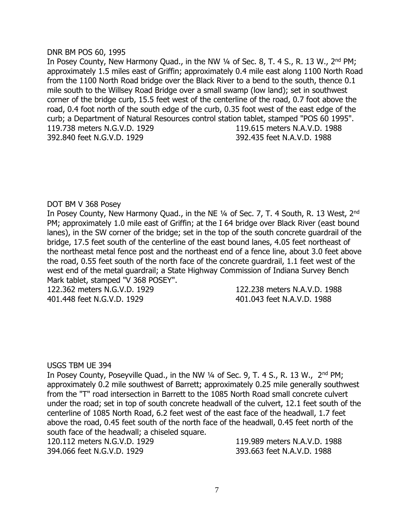## DNR BM POS 60, 1995

In Posey County, New Harmony Quad., in the NW 1/4 of Sec. 8, T. 4 S., R. 13 W., 2<sup>nd</sup> PM; approximately 1.5 miles east of Griffin; approximately 0.4 mile east along 1100 North Road from the 1100 North Road bridge over the Black River to a bend to the south, thence 0.1 mile south to the Willsey Road Bridge over a small swamp (low land); set in southwest corner of the bridge curb, 15.5 feet west of the centerline of the road, 0.7 foot above the road, 0.4 foot north of the south edge of the curb, 0.35 foot west of the east edge of the curb; a Department of Natural Resources control station tablet, stamped "POS 60 1995". 119.738 meters N.G.V.D. 1929 119.615 meters N.A.V.D. 1988 392.840 feet N.G.V.D. 1929 392.435 feet N.A.V.D. 1988

# DOT BM V 368 Posey

In Posey County, New Harmony Quad., in the NE 1/4 of Sec. 7, T. 4 South, R. 13 West, 2<sup>nd</sup> PM; approximately 1.0 mile east of Griffin; at the I 64 bridge over Black River (east bound lanes), in the SW corner of the bridge; set in the top of the south concrete guardrail of the bridge, 17.5 feet south of the centerline of the east bound lanes, 4.05 feet northeast of the northeast metal fence post and the northeast end of a fence line, about 3.0 feet above the road, 0.55 feet south of the north face of the concrete guardrail, 1.1 feet west of the west end of the metal guardrail; a State Highway Commission of Indiana Survey Bench Mark tablet, stamped "V 368 POSEY".

122.362 meters N.G.V.D. 1929 122.238 meters N.A.V.D. 1988 401.448 feet N.G.V.D. 1929 401.043 feet N.A.V.D. 1988

# USGS TBM UE 394

In Posey County, Poseyville Quad., in the NW  $\frac{1}{4}$  of Sec. 9, T. 4 S., R. 13 W.,  $2^{nd}$  PM; approximately 0.2 mile southwest of Barrett; approximately 0.25 mile generally southwest from the "T" road intersection in Barrett to the 1085 North Road small concrete culvert under the road; set in top of south concrete headwall of the culvert, 12.1 feet south of the centerline of 1085 North Road, 6.2 feet west of the east face of the headwall, 1.7 feet above the road, 0.45 feet south of the north face of the headwall, 0.45 feet north of the south face of the headwall; a chiseled square.

120.112 meters N.G.V.D. 1929 119.989 meters N.A.V.D. 1988 394.066 feet N.G.V.D. 1929 393.663 feet N.A.V.D. 1988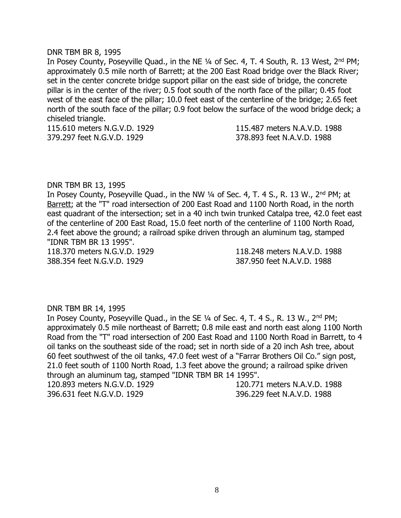#### DNR TBM BR 8, 1995

In Posey County, Poseyville Quad., in the NE 1/4 of Sec. 4, T. 4 South, R. 13 West, 2<sup>nd</sup> PM; approximately 0.5 mile north of Barrett; at the 200 East Road bridge over the Black River; set in the center concrete bridge support pillar on the east side of bridge, the concrete pillar is in the center of the river; 0.5 foot south of the north face of the pillar; 0.45 foot west of the east face of the pillar; 10.0 feet east of the centerline of the bridge; 2.65 feet north of the south face of the pillar; 0.9 foot below the surface of the wood bridge deck; a chiseled triangle.

115.610 meters N.G.V.D. 1929 115.487 meters N.A.V.D. 1988 379.297 feet N.G.V.D. 1929 378.893 feet N.A.V.D. 1988

#### DNR TBM BR 13, 1995

In Posey County, Poseyville Quad., in the NW 1/4 of Sec. 4, T. 4 S., R. 13 W., 2<sup>nd</sup> PM; at Barrett; at the "T" road intersection of 200 East Road and 1100 North Road, in the north east quadrant of the intersection; set in a 40 inch twin trunked Catalpa tree, 42.0 feet east of the centerline of 200 East Road, 15.0 feet north of the centerline of 1100 North Road, 2.4 feet above the ground; a railroad spike driven through an aluminum tag, stamped "IDNR TBM BR 13 1995".

388.354 feet N.G.V.D. 1929 387.950 feet N.A.V.D. 1988

118.370 meters N.G.V.D. 1929 118.248 meters N.A.V.D. 1988

#### DNR TBM BR 14, 1995

In Posey County, Poseyville Quad., in the SE 1/4 of Sec. 4, T. 4 S., R. 13 W., 2<sup>nd</sup> PM; approximately 0.5 mile northeast of Barrett; 0.8 mile east and north east along 1100 North Road from the "T" road intersection of 200 East Road and 1100 North Road in Barrett, to 4 oil tanks on the southeast side of the road; set in north side of a 20 inch Ash tree, about 60 feet southwest of the oil tanks, 47.0 feet west of a "Farrar Brothers Oil Co." sign post, 21.0 feet south of 1100 North Road, 1.3 feet above the ground; a railroad spike driven through an aluminum tag, stamped "IDNR TBM BR 14 1995".

396.631 feet N.G.V.D. 1929 396.229 feet N.A.V.D. 1988

120.893 meters N.G.V.D. 1929 120.771 meters N.A.V.D. 1988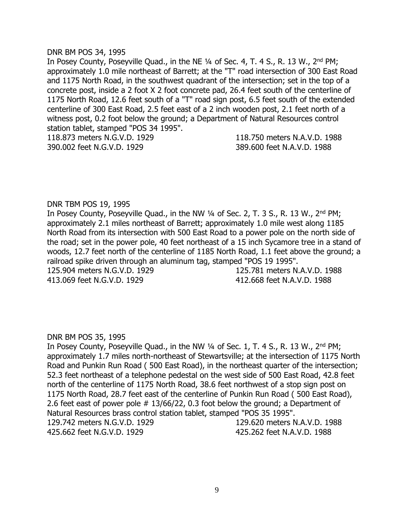#### DNR BM POS 34, 1995

In Posey County, Poseyville Quad., in the NE 1/4 of Sec. 4, T. 4 S., R. 13 W., 2<sup>nd</sup> PM; approximately 1.0 mile northeast of Barrett; at the "T" road intersection of 300 East Road and 1175 North Road, in the southwest quadrant of the intersection; set in the top of a concrete post, inside a 2 foot X 2 foot concrete pad, 26.4 feet south of the centerline of 1175 North Road, 12.6 feet south of a "T" road sign post, 6.5 feet south of the extended centerline of 300 East Road, 2.5 feet east of a 2 inch wooden post, 2.1 feet north of a witness post, 0.2 foot below the ground; a Department of Natural Resources control station tablet, stamped "POS 34 1995".

390.002 feet N.G.V.D. 1929 389.600 feet N.A.V.D. 1988

118.873 meters N.G.V.D. 1929 118.750 meters N.A.V.D. 1988

## DNR TBM POS 19, 1995

In Posey County, Poseyville Quad., in the NW 1/4 of Sec. 2, T. 3 S., R. 13 W., 2<sup>nd</sup> PM; approximately 2.1 miles northeast of Barrett; approximately 1.0 mile west along 1185 North Road from its intersection with 500 East Road to a power pole on the north side of the road; set in the power pole, 40 feet northeast of a 15 inch Sycamore tree in a stand of woods, 12.7 feet north of the centerline of 1185 North Road, 1.1 feet above the ground; a railroad spike driven through an aluminum tag, stamped "POS 19 1995". 125.904 meters N.G.V.D. 1929 125.781 meters N.A.V.D. 1988 413.069 feet N.G.V.D. 1929 412.668 feet N.A.V.D. 1988

#### DNR BM POS 35, 1995

In Posey County, Poseyville Quad., in the NW 1/4 of Sec. 1, T. 4 S., R. 13 W., 2<sup>nd</sup> PM; approximately 1.7 miles north-northeast of Stewartsville; at the intersection of 1175 North Road and Punkin Run Road ( 500 East Road), in the northeast quarter of the intersection; 52.3 feet northeast of a telephone pedestal on the west side of 500 East Road, 42.8 feet north of the centerline of 1175 North Road, 38.6 feet northwest of a stop sign post on 1175 North Road, 28.7 feet east of the centerline of Punkin Run Road ( 500 East Road), 2.6 feet east of power pole # 13/66/22, 0.3 foot below the ground; a Department of Natural Resources brass control station tablet, stamped "POS 35 1995". 129.742 meters N.G.V.D. 1929 129.620 meters N.A.V.D. 1988 425.662 feet N.G.V.D. 1929 425.262 feet N.A.V.D. 1988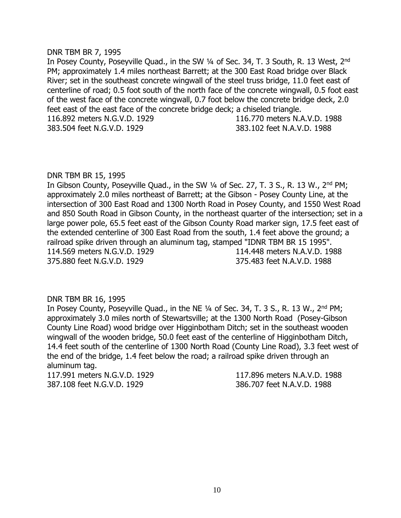#### DNR TBM BR 7, 1995

In Posey County, Poseyville Quad., in the SW 1/4 of Sec. 34, T. 3 South, R. 13 West, 2<sup>nd</sup> PM; approximately 1.4 miles northeast Barrett; at the 300 East Road bridge over Black River; set in the southeast concrete wingwall of the steel truss bridge, 11.0 feet east of centerline of road; 0.5 foot south of the north face of the concrete wingwall, 0.5 foot east of the west face of the concrete wingwall, 0.7 foot below the concrete bridge deck, 2.0 feet east of the east face of the concrete bridge deck; a chiseled triangle. 116.892 meters N.G.V.D. 1929 116.770 meters N.A.V.D. 1988 383.504 feet N.G.V.D. 1929 383.102 feet N.A.V.D. 1988

## DNR TBM BR 15, 1995

In Gibson County, Poseyville Quad., in the SW 1/4 of Sec. 27, T. 3 S., R. 13 W., 2<sup>nd</sup> PM; approximately 2.0 miles northeast of Barrett; at the Gibson - Posey County Line, at the intersection of 300 East Road and 1300 North Road in Posey County, and 1550 West Road and 850 South Road in Gibson County, in the northeast quarter of the intersection; set in a large power pole, 65.5 feet east of the Gibson County Road marker sign, 17.5 feet east of the extended centerline of 300 East Road from the south, 1.4 feet above the ground; a railroad spike driven through an aluminum tag, stamped "IDNR TBM BR 15 1995". 114.569 meters N.G.V.D. 1929 114.448 meters N.A.V.D. 1988 375.880 feet N.G.V.D. 1929 375.483 feet N.A.V.D. 1988

# DNR TBM BR 16, 1995

In Posey County, Poseyville Quad., in the NE 1/4 of Sec. 34, T. 3 S., R. 13 W., 2<sup>nd</sup> PM; approximately 3.0 miles north of Stewartsville; at the 1300 North Road (Posey-Gibson County Line Road) wood bridge over Higginbotham Ditch; set in the southeast wooden wingwall of the wooden bridge, 50.0 feet east of the centerline of Higginbotham Ditch, 14.4 feet south of the centerline of 1300 North Road (County Line Road), 3.3 feet west of the end of the bridge, 1.4 feet below the road; a railroad spike driven through an aluminum tag.

117.991 meters N.G.V.D. 1929 117.896 meters N.A.V.D. 1988 387.108 feet N.G.V.D. 1929 386.707 feet N.A.V.D. 1988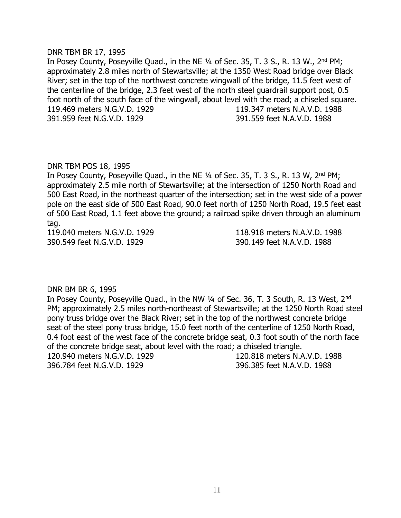#### DNR TBM BR 17, 1995

In Posey County, Poseyville Quad., in the NE 1/4 of Sec. 35, T. 3 S., R. 13 W., 2<sup>nd</sup> PM; approximately 2.8 miles north of Stewartsville; at the 1350 West Road bridge over Black River; set in the top of the northwest concrete wingwall of the bridge, 11.5 feet west of the centerline of the bridge, 2.3 feet west of the north steel guardrail support post, 0.5 foot north of the south face of the wingwall, about level with the road; a chiseled square. 119.469 meters N.G.V.D. 1929 119.347 meters N.A.V.D. 1988 391.959 feet N.G.V.D. 1929 391.559 feet N.A.V.D. 1988

## DNR TBM POS 18, 1995

In Posey County, Poseyville Quad., in the NE ¼ of Sec. 35, T. 3 S., R. 13 W, 2nd PM; approximately 2.5 mile north of Stewartsville; at the intersection of 1250 North Road and 500 East Road, in the northeast quarter of the intersection; set in the west side of a power pole on the east side of 500 East Road, 90.0 feet north of 1250 North Road, 19.5 feet east of 500 East Road, 1.1 feet above the ground; a railroad spike driven through an aluminum tag.

390.549 feet N.G.V.D. 1929 390.149 feet N.A.V.D. 1988

119.040 meters N.G.V.D. 1929 118.918 meters N.A.V.D. 1988

# DNR BM BR 6, 1995

In Posey County, Poseyville Quad., in the NW 1/4 of Sec. 36, T. 3 South, R. 13 West, 2<sup>nd</sup> PM; approximately 2.5 miles north-northeast of Stewartsville; at the 1250 North Road steel pony truss bridge over the Black River; set in the top of the northwest concrete bridge seat of the steel pony truss bridge, 15.0 feet north of the centerline of 1250 North Road, 0.4 foot east of the west face of the concrete bridge seat, 0.3 foot south of the north face of the concrete bridge seat, about level with the road; a chiseled triangle. 120.940 meters N.G.V.D. 1929 120.818 meters N.A.V.D. 1988 396.784 feet N.G.V.D. 1929 396.385 feet N.A.V.D. 1988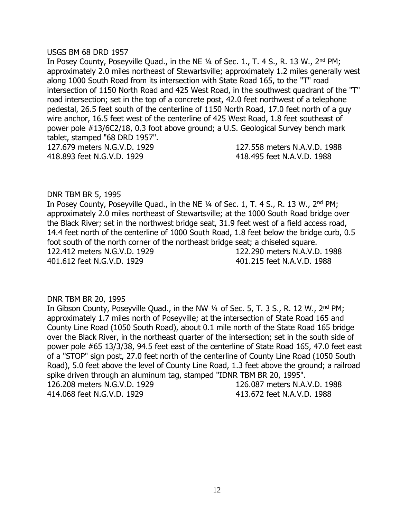#### USGS BM 68 DRD 1957

In Posey County, Poseyville Quad., in the NE 1/4 of Sec. 1., T. 4 S., R. 13 W., 2<sup>nd</sup> PM; approximately 2.0 miles northeast of Stewartsville; approximately 1.2 miles generally west along 1000 South Road from its intersection with State Road 165, to the "T" road intersection of 1150 North Road and 425 West Road, in the southwest quadrant of the "T" road intersection; set in the top of a concrete post, 42.0 feet northwest of a telephone pedestal, 26.5 feet south of the centerline of 1150 North Road, 17.0 feet north of a guy wire anchor, 16.5 feet west of the centerline of 425 West Road, 1.8 feet southeast of power pole #13/6C2/18, 0.3 foot above ground; a U.S. Geological Survey bench mark tablet, stamped "68 DRD 1957".

418.893 feet N.G.V.D. 1929 418.495 feet N.A.V.D. 1988

127.679 meters N.G.V.D. 1929 127.558 meters N.A.V.D. 1988

## DNR TBM BR 5, 1995

In Posey County, Poseyville Quad., in the NE 1/4 of Sec. 1, T. 4 S., R. 13 W., 2<sup>nd</sup> PM; approximately 2.0 miles northeast of Stewartsville; at the 1000 South Road bridge over the Black River; set in the northwest bridge seat, 31.9 feet west of a field access road, 14.4 feet north of the centerline of 1000 South Road, 1.8 feet below the bridge curb, 0.5 foot south of the north corner of the northeast bridge seat; a chiseled square. 122.412 meters N.G.V.D. 1929 122.290 meters N.A.V.D. 1988 401.612 feet N.G.V.D. 1929 401.215 feet N.A.V.D. 1988

#### DNR TBM BR 20, 1995

In Gibson County, Poseyville Quad., in the NW 1/4 of Sec. 5, T. 3 S., R. 12 W., 2<sup>nd</sup> PM; approximately 1.7 miles north of Poseyville; at the intersection of State Road 165 and County Line Road (1050 South Road), about 0.1 mile north of the State Road 165 bridge over the Black River, in the northeast quarter of the intersection; set in the south side of power pole #65 13/3/38, 94.5 feet east of the centerline of State Road 165, 47.0 feet east of a "STOP" sign post, 27.0 feet north of the centerline of County Line Road (1050 South Road), 5.0 feet above the level of County Line Road, 1.3 feet above the ground; a railroad spike driven through an aluminum tag, stamped "IDNR TBM BR 20, 1995". 126.208 meters N.G.V.D. 1929 126.087 meters N.A.V.D. 1988 414.068 feet N.G.V.D. 1929 413.672 feet N.A.V.D. 1988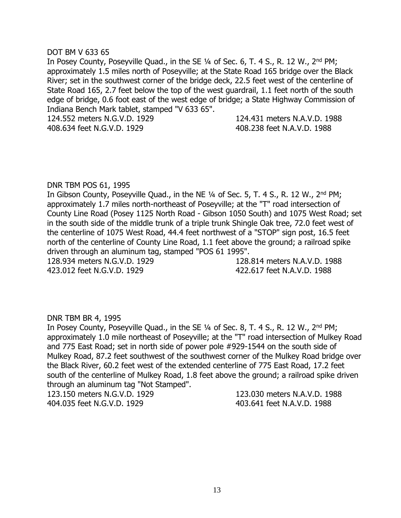## DOT BM V 633 65

In Posey County, Poseyville Quad., in the SE 1/4 of Sec. 6, T. 4 S., R. 12 W., 2<sup>nd</sup> PM; approximately 1.5 miles north of Poseyville; at the State Road 165 bridge over the Black River; set in the southwest corner of the bridge deck, 22.5 feet west of the centerline of State Road 165, 2.7 feet below the top of the west guardrail, 1.1 feet north of the south edge of bridge, 0.6 foot east of the west edge of bridge; a State Highway Commission of Indiana Bench Mark tablet, stamped "V 633 65".

124.552 meters N.G.V.D. 1929 124.431 meters N.A.V.D. 1988 408.634 feet N.G.V.D. 1929 408.238 feet N.A.V.D. 1988

## DNR TBM POS 61, 1995

In Gibson County, Poseyville Quad., in the NE 1/4 of Sec. 5, T. 4 S., R. 12 W., 2<sup>nd</sup> PM; approximately 1.7 miles north-northeast of Poseyville; at the "T" road intersection of County Line Road (Posey 1125 North Road - Gibson 1050 South) and 1075 West Road; set in the south side of the middle trunk of a triple trunk Shingle Oak tree, 72.0 feet west of the centerline of 1075 West Road, 44.4 feet northwest of a "STOP" sign post, 16.5 feet north of the centerline of County Line Road, 1.1 feet above the ground; a railroad spike driven through an aluminum tag, stamped "POS 61 1995". 128.934 meters N.G.V.D. 1929 128.814 meters N.A.V.D. 1988

423.012 feet N.G.V.D. 1929 422.617 feet N.A.V.D. 1988

#### DNR TBM BR 4, 1995

In Posey County, Poseyville Quad., in the SE 1/4 of Sec. 8, T. 4 S., R. 12 W., 2<sup>nd</sup> PM; approximately 1.0 mile northeast of Poseyville; at the "T" road intersection of Mulkey Road and 775 East Road; set in north side of power pole #929-1544 on the south side of Mulkey Road, 87.2 feet southwest of the southwest corner of the Mulkey Road bridge over the Black River, 60.2 feet west of the extended centerline of 775 East Road, 17.2 feet south of the centerline of Mulkey Road, 1.8 feet above the ground; a railroad spike driven through an aluminum tag "Not Stamped".

404.035 feet N.G.V.D. 1929 403.641 feet N.A.V.D. 1988

123.150 meters N.G.V.D. 1929 123.030 meters N.A.V.D. 1988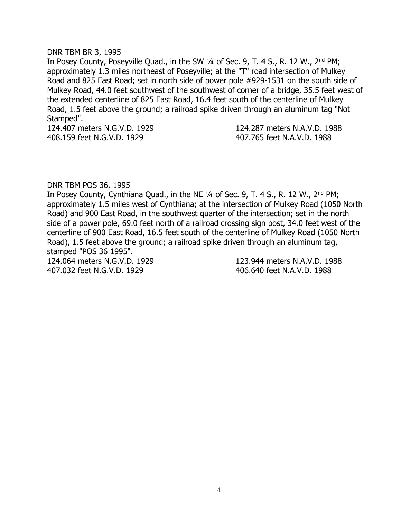#### DNR TBM BR 3, 1995

In Posey County, Poseyville Quad., in the SW 1/4 of Sec. 9, T. 4 S., R. 12 W., 2<sup>nd</sup> PM; approximately 1.3 miles northeast of Poseyville; at the "T" road intersection of Mulkey Road and 825 East Road; set in north side of power pole #929-1531 on the south side of Mulkey Road, 44.0 feet southwest of the southwest of corner of a bridge, 35.5 feet west of the extended centerline of 825 East Road, 16.4 feet south of the centerline of Mulkey Road, 1.5 feet above the ground; a railroad spike driven through an aluminum tag "Not Stamped".

124.407 meters N.G.V.D. 1929 124.287 meters N.A.V.D. 1988 408.159 feet N.G.V.D. 1929 407.765 feet N.A.V.D. 1988

#### DNR TBM POS 36, 1995

In Posey County, Cynthiana Quad., in the NE  $\frac{1}{4}$  of Sec. 9, T. 4 S., R. 12 W., 2<sup>nd</sup> PM; approximately 1.5 miles west of Cynthiana; at the intersection of Mulkey Road (1050 North Road) and 900 East Road, in the southwest quarter of the intersection; set in the north side of a power pole, 69.0 feet north of a railroad crossing sign post, 34.0 feet west of the centerline of 900 East Road, 16.5 feet south of the centerline of Mulkey Road (1050 North Road), 1.5 feet above the ground; a railroad spike driven through an aluminum tag, stamped "POS 36 1995". 124.064 meters N.G.V.D. 1929 123.944 meters N.A.V.D. 1988

407.032 feet N.G.V.D. 1929 406.640 feet N.A.V.D. 1988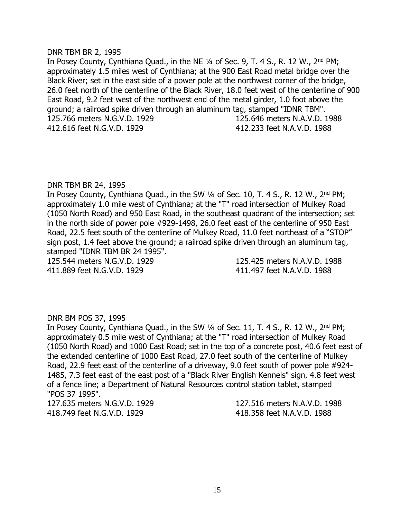#### DNR TBM BR 2, 1995

In Posey County, Cynthiana Quad., in the NE 1/4 of Sec. 9, T. 4 S., R. 12 W., 2<sup>nd</sup> PM; approximately 1.5 miles west of Cynthiana; at the 900 East Road metal bridge over the Black River; set in the east side of a power pole at the northwest corner of the bridge, 26.0 feet north of the centerline of the Black River, 18.0 feet west of the centerline of 900 East Road, 9.2 feet west of the northwest end of the metal girder, 1.0 foot above the ground; a railroad spike driven through an aluminum tag, stamped "IDNR TBM". 125.766 meters N.G.V.D. 1929 125.646 meters N.A.V.D. 1988 412.616 feet N.G.V.D. 1929 412.233 feet N.A.V.D. 1988

#### DNR TBM BR 24, 1995

In Posey County, Cynthiana Quad., in the SW 1/4 of Sec. 10, T. 4 S., R. 12 W., 2<sup>nd</sup> PM; approximately 1.0 mile west of Cynthiana; at the "T" road intersection of Mulkey Road (1050 North Road) and 950 East Road, in the southeast quadrant of the intersection; set in the north side of power pole #929-1498, 26.0 feet east of the centerline of 950 East Road, 22.5 feet south of the centerline of Mulkey Road, 11.0 feet northeast of a "STOP" sign post, 1.4 feet above the ground; a railroad spike driven through an aluminum tag, stamped "IDNR TBM BR 24 1995".

411.889 feet N.G.V.D. 1929 411.497 feet N.A.V.D. 1988

125.544 meters N.G.V.D. 1929 125.425 meters N.A.V.D. 1988

#### DNR BM POS 37, 1995

In Posey County, Cynthiana Quad., in the SW 1/4 of Sec. 11, T. 4 S., R. 12 W., 2<sup>nd</sup> PM; approximately 0.5 mile west of Cynthiana; at the "T" road intersection of Mulkey Road (1050 North Road) and 1000 East Road; set in the top of a concrete post, 40.6 feet east of the extended centerline of 1000 East Road, 27.0 feet south of the centerline of Mulkey Road, 22.9 feet east of the centerline of a driveway, 9.0 feet south of power pole #924- 1485, 7.3 feet east of the east post of a "Black River English Kennels" sign, 4.8 feet west of a fence line; a Department of Natural Resources control station tablet, stamped "POS 37 1995".

418.749 feet N.G.V.D. 1929 418.358 feet N.A.V.D. 1988

127.635 meters N.G.V.D. 1929 127.516 meters N.A.V.D. 1988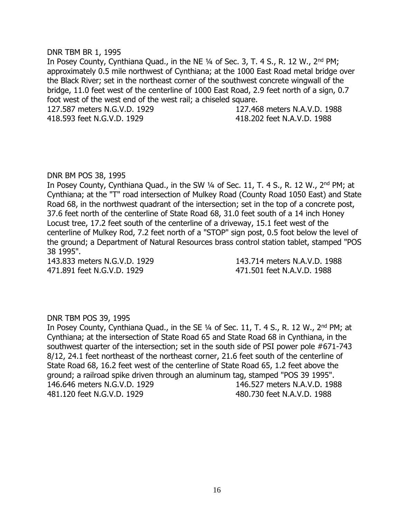#### DNR TBM BR 1, 1995

In Posey County, Cynthiana Quad., in the NE 1/4 of Sec. 3, T. 4 S., R. 12 W., 2<sup>nd</sup> PM; approximately 0.5 mile northwest of Cynthiana; at the 1000 East Road metal bridge over the Black River; set in the northeast corner of the southwest concrete wingwall of the bridge, 11.0 feet west of the centerline of 1000 East Road, 2.9 feet north of a sign, 0.7 foot west of the west end of the west rail; a chiseled square. 127.587 meters N.G.V.D. 1929 127.468 meters N.A.V.D. 1988

418.593 feet N.G.V.D. 1929 418.202 feet N.A.V.D. 1988

## DNR BM POS 38, 1995

In Posey County, Cynthiana Quad., in the SW 1/4 of Sec. 11, T. 4 S., R. 12 W., 2<sup>nd</sup> PM; at Cynthiana; at the "T" road intersection of Mulkey Road (County Road 1050 East) and State Road 68, in the northwest quadrant of the intersection; set in the top of a concrete post, 37.6 feet north of the centerline of State Road 68, 31.0 feet south of a 14 inch Honey Locust tree, 17.2 feet south of the centerline of a driveway, 15.1 feet west of the centerline of Mulkey Rod, 7.2 feet north of a "STOP" sign post, 0.5 foot below the level of the ground; a Department of Natural Resources brass control station tablet, stamped "POS 38 1995".

471.891 feet N.G.V.D. 1929 471.501 feet N.A.V.D. 1988

143.833 meters N.G.V.D. 1929 143.714 meters N.A.V.D. 1988

# DNR TBM POS 39, 1995

In Posey County, Cynthiana Quad., in the SE 1/4 of Sec. 11, T. 4 S., R. 12 W., 2<sup>nd</sup> PM; at Cynthiana; at the intersection of State Road 65 and State Road 68 in Cynthiana, in the southwest quarter of the intersection; set in the south side of PSI power pole #671-743 8/12, 24.1 feet northeast of the northeast corner, 21.6 feet south of the centerline of State Road 68, 16.2 feet west of the centerline of State Road 65, 1.2 feet above the ground; a railroad spike driven through an aluminum tag, stamped "POS 39 1995". 146.646 meters N.G.V.D. 1929 146.527 meters N.A.V.D. 1988 481.120 feet N.G.V.D. 1929 480.730 feet N.A.V.D. 1988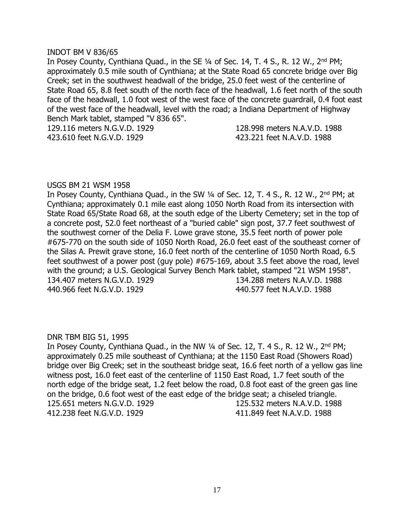## INDOT BM V 836/65

In Posey County, Cynthiana Quad., in the SE 1/4 of Sec. 14, T. 4 S., R. 12 W., 2<sup>nd</sup> PM; approximately 0.5 mile south of Cynthiana; at the State Road 65 concrete bridge over Big Creek; set in the southwest headwall of the bridge, 25.0 feet west of the centerline of State Road 65, 8.8 feet south of the north face of the headwall, 1.6 feet north of the south face of the headwall, 1.0 foot west of the west face of the concrete guardrail, 0.4 foot east of the west face of the headwall, level with the road; a Indiana Department of Highway Bench Mark tablet, stamped "V 836 65".

129.116 meters N.G.V.D. 1929 128.998 meters N.A.V.D. 1988 423.610 feet N.G.V.D. 1929 423.221 feet N.A.V.D. 1988

## USGS BM 21 WSM 1958

In Posey County, Cynthiana Quad., in the SW 1/4 of Sec. 12, T. 4 S., R. 12 W., 2<sup>nd</sup> PM; at Cynthiana; approximately 0.1 mile east along 1050 North Road from its intersection with State Road 65/State Road 68, at the south edge of the Liberty Cemetery; set in the top of a concrete post, 52.0 feet northeast of a "buried cable" sign post, 37.7 feet southwest of the southwest corner of the Delia F. Lowe grave stone, 35.5 feet north of power pole #675-770 on the south side of 1050 North Road, 26.0 feet east of the southeast corner of the Silas A. Prewit grave stone, 16.0 feet north of the centerline of 1050 North Road, 6.5 feet southwest of a power post (guy pole) #675-169, about 3.5 feet above the road, level with the ground; a U.S. Geological Survey Bench Mark tablet, stamped "21 WSM 1958". 134.407 meters N.G.V.D. 1929 134.288 meters N.A.V.D. 1988 440.966 feet N.G.V.D. 1929 440.577 feet N.A.V.D. 1988

# DNR TBM BIG 51, 1995

In Posey County, Cynthiana Quad., in the NW  $\frac{1}{4}$  of Sec. 12, T. 4 S., R. 12 W.,  $2^{nd}$  PM; approximately 0.25 mile southeast of Cynthiana; at the 1150 East Road (Showers Road) bridge over Big Creek; set in the southeast bridge seat, 16.6 feet north of a yellow gas line witness post, 16.0 feet east of the centerline of 1150 East Road, 1.7 feet south of the north edge of the bridge seat, 1.2 feet below the road, 0.8 foot east of the green gas line on the bridge, 0.6 foot west of the east edge of the bridge seat; a chiseled triangle. 125.651 meters N.G.V.D. 1929 125.532 meters N.A.V.D. 1988 412.238 feet N.G.V.D. 1929 411.849 feet N.A.V.D. 1988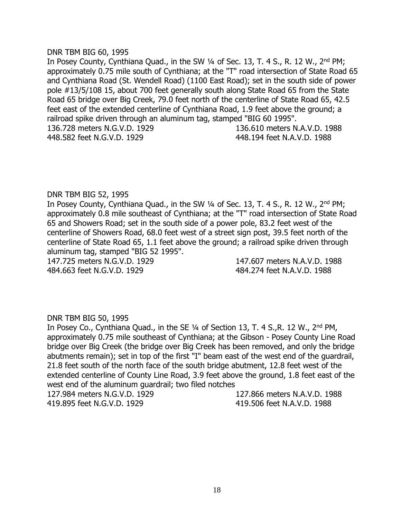#### DNR TBM BIG 60, 1995

In Posey County, Cynthiana Quad., in the SW 1/4 of Sec. 13, T. 4 S., R. 12 W., 2<sup>nd</sup> PM; approximately 0.75 mile south of Cynthiana; at the "T" road intersection of State Road 65 and Cynthiana Road (St. Wendell Road) (1100 East Road); set in the south side of power pole #13/5/108 15, about 700 feet generally south along State Road 65 from the State Road 65 bridge over Big Creek, 79.0 feet north of the centerline of State Road 65, 42.5 feet east of the extended centerline of Cynthiana Road, 1.9 feet above the ground; a railroad spike driven through an aluminum tag, stamped "BIG 60 1995". 136.728 meters N.G.V.D. 1929 136.610 meters N.A.V.D. 1988 448.582 feet N.G.V.D. 1929 448.194 feet N.A.V.D. 1988

## DNR TBM BIG 52, 1995

In Posey County, Cynthiana Quad., in the SW 1/4 of Sec. 13, T. 4 S., R. 12 W., 2<sup>nd</sup> PM; approximately 0.8 mile southeast of Cynthiana; at the "T" road intersection of State Road 65 and Showers Road; set in the south side of a power pole, 83.2 feet west of the centerline of Showers Road, 68.0 feet west of a street sign post, 39.5 feet north of the centerline of State Road 65, 1.1 feet above the ground; a railroad spike driven through aluminum tag, stamped "BIG 52 1995".

484.663 feet N.G.V.D. 1929 484.274 feet N.A.V.D. 1988

147.725 meters N.G.V.D. 1929 147.607 meters N.A.V.D. 1988

#### DNR TBM BIG 50, 1995

In Posey Co., Cynthiana Quad., in the SE 1/4 of Section 13, T. 4 S., R. 12 W., 2<sup>nd</sup> PM, approximately 0.75 mile southeast of Cynthiana; at the Gibson - Posey County Line Road bridge over Big Creek (the bridge over Big Creek has been removed, and only the bridge abutments remain); set in top of the first "I" beam east of the west end of the guardrail, 21.8 feet south of the north face of the south bridge abutment, 12.8 feet west of the extended centerline of County Line Road, 3.9 feet above the ground, 1.8 feet east of the west end of the aluminum guardrail; two filed notches

419.895 feet N.G.V.D. 1929 419.506 feet N.A.V.D. 1988

127.984 meters N.G.V.D. 1929 127.866 meters N.A.V.D. 1988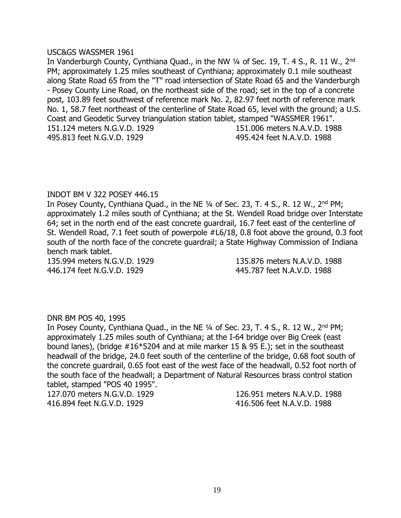#### USC&GS WASSMER 1961

In Vanderburgh County, Cynthiana Quad., in the NW 1/4 of Sec. 19, T. 4 S., R. 11 W., 2<sup>nd</sup> PM; approximately 1.25 miles southeast of Cynthiana; approximately 0.1 mile southeast along State Road 65 from the "T" road intersection of State Road 65 and the Vanderburgh - Posey County Line Road, on the northeast side of the road; set in the top of a concrete post, 103.89 feet southwest of reference mark No. 2, 82.97 feet north of reference mark No. 1, 58.7 feet northeast of the centerline of State Road 65, level with the ground; a U.S. Coast and Geodetic Survey triangulation station tablet, stamped "WASSMER 1961". 151.124 meters N.G.V.D. 1929 151.006 meters N.A.V.D. 1988 495.813 feet N.G.V.D. 1929 495.424 feet N.A.V.D. 1988

# INDOT BM V 322 POSEY 446.15

In Posey County, Cynthiana Quad., in the NE 1/4 of Sec. 23, T. 4 S., R. 12 W., 2<sup>nd</sup> PM; approximately 1.2 miles south of Cynthiana; at the St. Wendell Road bridge over Interstate 64; set in the north end of the east concrete guardrail, 16.7 feet east of the centerline of St. Wendell Road, 7.1 feet south of powerpole #L6/18, 0.8 foot above the ground, 0.3 foot south of the north face of the concrete guardrail; a State Highway Commission of Indiana bench mark tablet.

446.174 feet N.G.V.D. 1929 445.787 feet N.A.V.D. 1988

135.994 meters N.G.V.D. 1929 135.876 meters N.A.V.D. 1988

# DNR BM POS 40, 1995

In Posey County, Cynthiana Quad., in the NE 1/4 of Sec. 23, T. 4 S., R. 12 W., 2<sup>nd</sup> PM; approximately 1.25 miles south of Cynthiana; at the I-64 bridge over Big Creek (east bound lanes), (bridge #16\*5204 and at mile marker 15 & 95 E.); set in the southeast headwall of the bridge, 24.0 feet south of the centerline of the bridge, 0.68 foot south of the concrete guardrail, 0.65 foot east of the west face of the headwall, 0.52 foot north of the south face of the headwall; a Department of Natural Resources brass control station tablet, stamped "POS 40 1995".

416.894 feet N.G.V.D. 1929 416.506 feet N.A.V.D. 1988

127.070 meters N.G.V.D. 1929 126.951 meters N.A.V.D. 1988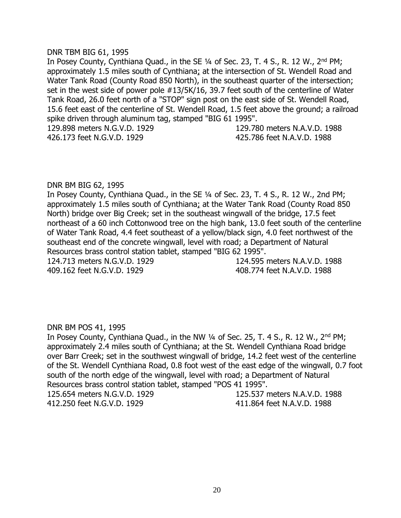#### DNR TBM BIG 61, 1995

In Posey County, Cynthiana Quad., in the SE 1/4 of Sec. 23, T. 4 S., R. 12 W., 2<sup>nd</sup> PM; approximately 1.5 miles south of Cynthiana; at the intersection of St. Wendell Road and Water Tank Road (County Road 850 North), in the southeast quarter of the intersection; set in the west side of power pole #13/5K/16, 39.7 feet south of the centerline of Water Tank Road, 26.0 feet north of a "STOP" sign post on the east side of St. Wendell Road, 15.6 feet east of the centerline of St. Wendell Road, 1.5 feet above the ground; a railroad spike driven through aluminum tag, stamped "BIG 61 1995". 129.898 meters N.G.V.D. 1929 129.780 meters N.A.V.D. 1988 426.173 feet N.G.V.D. 1929 425.786 feet N.A.V.D. 1988

DNR BM BIG 62, 1995

In Posey County, Cynthiana Quad., in the SE ¼ of Sec. 23, T. 4 S., R. 12 W., 2nd PM; approximately 1.5 miles south of Cynthiana; at the Water Tank Road (County Road 850 North) bridge over Big Creek; set in the southeast wingwall of the bridge, 17.5 feet northeast of a 60 inch Cottonwood tree on the high bank, 13.0 feet south of the centerline of Water Tank Road, 4.4 feet southeast of a yellow/black sign, 4.0 feet northwest of the southeast end of the concrete wingwall, level with road; a Department of Natural Resources brass control station tablet, stamped "BIG 62 1995". 124.713 meters N.G.V.D. 1929 124.595 meters N.A.V.D. 1988

409.162 feet N.G.V.D. 1929 408.774 feet N.A.V.D. 1988

# DNR BM POS 41, 1995

In Posey County, Cynthiana Quad., in the NW  $\frac{1}{4}$  of Sec. 25, T. 4 S., R. 12 W., 2<sup>nd</sup> PM; approximately 2.4 miles south of Cynthiana; at the St. Wendell Cynthiana Road bridge over Barr Creek; set in the southwest wingwall of bridge, 14.2 feet west of the centerline of the St. Wendell Cynthiana Road, 0.8 foot west of the east edge of the wingwall, 0.7 foot south of the north edge of the wingwall, level with road; a Department of Natural Resources brass control station tablet, stamped "POS 41 1995". 125.654 meters N.G.V.D. 1929 125.537 meters N.A.V.D. 1988

412.250 feet N.G.V.D. 1929 411.864 feet N.A.V.D. 1988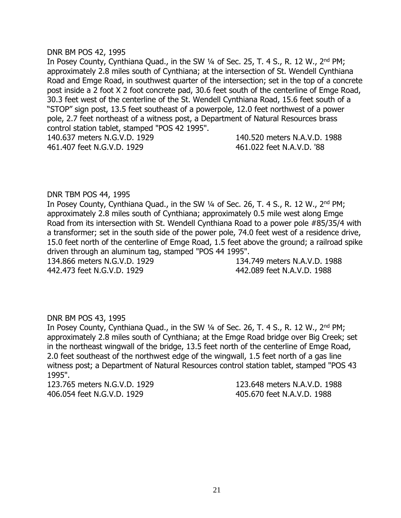## DNR BM POS 42, 1995

In Posey County, Cynthiana Quad., in the SW 1/4 of Sec. 25, T. 4 S., R. 12 W., 2<sup>nd</sup> PM; approximately 2.8 miles south of Cynthiana; at the intersection of St. Wendell Cynthiana Road and Emge Road, in southwest quarter of the intersection; set in the top of a concrete post inside a 2 foot X 2 foot concrete pad, 30.6 feet south of the centerline of Emge Road, 30.3 feet west of the centerline of the St. Wendell Cynthiana Road, 15.6 feet south of a "STOP" sign post, 13.5 feet southeast of a powerpole, 12.0 feet northwest of a power pole, 2.7 feet northeast of a witness post, a Department of Natural Resources brass control station tablet, stamped "POS 42 1995". 140.637 meters N.G.V.D. 1929 140.520 meters N.A.V.D. 1988 461.407 feet N.G.V.D. 1929 461.022 feet N.A.V.D. '88

# DNR TBM POS 44, 1995

In Posey County, Cynthiana Quad., in the SW 1/4 of Sec. 26, T. 4 S., R. 12 W., 2<sup>nd</sup> PM; approximately 2.8 miles south of Cynthiana; approximately 0.5 mile west along Emge Road from its intersection with St. Wendell Cynthiana Road to a power pole #85/35/4 with a transformer; set in the south side of the power pole, 74.0 feet west of a residence drive, 15.0 feet north of the centerline of Emge Road, 1.5 feet above the ground; a railroad spike driven through an aluminum tag, stamped "POS 44 1995".

134.866 meters N.G.V.D. 1929 134.749 meters N.A.V.D. 1988 442.473 feet N.G.V.D. 1929 442.089 feet N.A.V.D. 1988

# DNR BM POS 43, 1995

In Posey County, Cynthiana Quad., in the SW 1/4 of Sec. 26, T. 4 S., R. 12 W., 2<sup>nd</sup> PM; approximately 2.8 miles south of Cynthiana; at the Emge Road bridge over Big Creek; set in the northeast wingwall of the bridge, 13.5 feet north of the centerline of Emge Road, 2.0 feet southeast of the northwest edge of the wingwall, 1.5 feet north of a gas line witness post; a Department of Natural Resources control station tablet, stamped "POS 43 1995".

123.765 meters N.G.V.D. 1929 123.648 meters N.A.V.D. 1988 406.054 feet N.G.V.D. 1929 405.670 feet N.A.V.D. 1988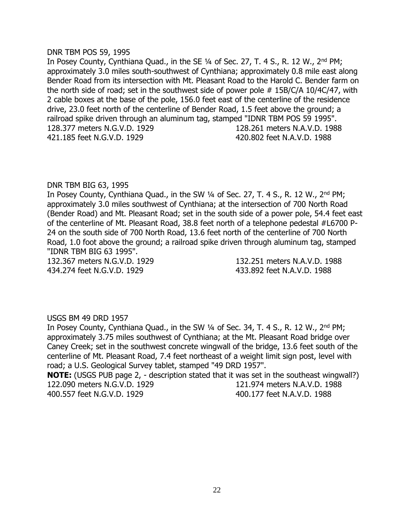#### DNR TBM POS 59, 1995

In Posey County, Cynthiana Quad., in the SE 1/4 of Sec. 27, T. 4 S., R. 12 W., 2<sup>nd</sup> PM; approximately 3.0 miles south-southwest of Cynthiana; approximately 0.8 mile east along Bender Road from its intersection with Mt. Pleasant Road to the Harold C. Bender farm on the north side of road; set in the southwest side of power pole  $# 15B/C/A 10/4C/47$ , with 2 cable boxes at the base of the pole, 156.0 feet east of the centerline of the residence drive, 23.0 feet north of the centerline of Bender Road, 1.5 feet above the ground; a railroad spike driven through an aluminum tag, stamped "IDNR TBM POS 59 1995". 128.377 meters N.G.V.D. 1929 128.261 meters N.A.V.D. 1988 421.185 feet N.G.V.D. 1929 420.802 feet N.A.V.D. 1988

## DNR TBM BIG 63, 1995

In Posey County, Cynthiana Quad., in the SW 1/4 of Sec. 27, T. 4 S., R. 12 W., 2<sup>nd</sup> PM; approximately 3.0 miles southwest of Cynthiana; at the intersection of 700 North Road (Bender Road) and Mt. Pleasant Road; set in the south side of a power pole, 54.4 feet east of the centerline of Mt. Pleasant Road, 38.8 feet north of a telephone pedestal #L6700 P-24 on the south side of 700 North Road, 13.6 feet north of the centerline of 700 North Road, 1.0 foot above the ground; a railroad spike driven through aluminum tag, stamped "IDNR TBM BIG 63 1995".

434.274 feet N.G.V.D. 1929 433.892 feet N.A.V.D. 1988

132.367 meters N.G.V.D. 1929 132.251 meters N.A.V.D. 1988

#### USGS BM 49 DRD 1957

In Posey County, Cynthiana Quad., in the SW 1/4 of Sec. 34, T. 4 S., R. 12 W., 2<sup>nd</sup> PM; approximately 3.75 miles southwest of Cynthiana; at the Mt. Pleasant Road bridge over Caney Creek; set in the southwest concrete wingwall of the bridge, 13.6 feet south of the centerline of Mt. Pleasant Road, 7.4 feet northeast of a weight limit sign post, level with road; a U.S. Geological Survey tablet, stamped "49 DRD 1957". **NOTE:** (USGS PUB page 2, - description stated that it was set in the southeast wingwall?) 122.090 meters N.G.V.D. 1929 121.974 meters N.A.V.D. 1988 400.557 feet N.G.V.D. 1929 400.177 feet N.A.V.D. 1988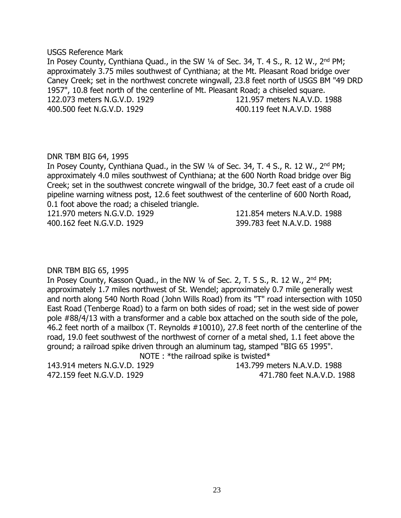#### USGS Reference Mark

In Posey County, Cynthiana Quad., in the SW 1/4 of Sec. 34, T. 4 S., R. 12 W., 2<sup>nd</sup> PM; approximately 3.75 miles southwest of Cynthiana; at the Mt. Pleasant Road bridge over Caney Creek; set in the northwest concrete wingwall, 23.8 feet north of USGS BM "49 DRD 1957", 10.8 feet north of the centerline of Mt. Pleasant Road; a chiseled square. 122.073 meters N.G.V.D. 1929 121.957 meters N.A.V.D. 1988 400.500 feet N.G.V.D. 1929 400.119 feet N.A.V.D. 1988

# DNR TBM BIG 64, 1995

In Posey County, Cynthiana Quad., in the SW 1/4 of Sec. 34, T. 4 S., R. 12 W., 2<sup>nd</sup> PM; approximately 4.0 miles southwest of Cynthiana; at the 600 North Road bridge over Big Creek; set in the southwest concrete wingwall of the bridge, 30.7 feet east of a crude oil pipeline warning witness post, 12.6 feet southwest of the centerline of 600 North Road, 0.1 foot above the road; a chiseled triangle.

121.970 meters N.G.V.D. 1929 121.854 meters N.A.V.D. 1988 400.162 feet N.G.V.D. 1929 399.783 feet N.A.V.D. 1988

# DNR TBM BIG 65, 1995

In Posey County, Kasson Quad., in the NW 1/4 of Sec. 2, T. 5 S., R. 12 W., 2<sup>nd</sup> PM; approximately 1.7 miles northwest of St. Wendel; approximately 0.7 mile generally west and north along 540 North Road (John Wills Road) from its "T" road intersection with 1050 East Road (Tenberge Road) to a farm on both sides of road; set in the west side of power pole #88/4/13 with a transformer and a cable box attached on the south side of the pole, 46.2 feet north of a mailbox (T. Reynolds #10010), 27.8 feet north of the centerline of the road, 19.0 feet southwest of the northwest of corner of a metal shed, 1.1 feet above the ground; a railroad spike driven through an aluminum tag, stamped "BIG 65 1995".

NOTE : \*the railroad spike is twisted\*

143.914 meters N.G.V.D. 1929 143.799 meters N.A.V.D. 1988

472.159 feet N.G.V.D. 1929 471.780 feet N.A.V.D. 1988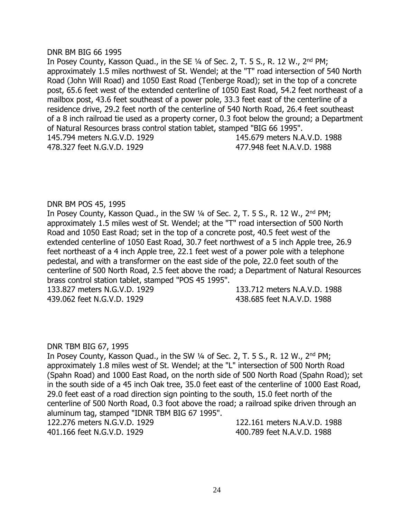## DNR BM BIG 66 1995

In Posey County, Kasson Quad., in the SE 1/4 of Sec. 2, T. 5 S., R. 12 W., 2<sup>nd</sup> PM; approximately 1.5 miles northwest of St. Wendel; at the "T" road intersection of 540 North Road (John Will Road) and 1050 East Road (Tenberge Road); set in the top of a concrete post, 65.6 feet west of the extended centerline of 1050 East Road, 54.2 feet northeast of a mailbox post, 43.6 feet southeast of a power pole, 33.3 feet east of the centerline of a residence drive, 29.2 feet north of the centerline of 540 North Road, 26.4 feet southeast of a 8 inch railroad tie used as a property corner, 0.3 foot below the ground; a Department of Natural Resources brass control station tablet, stamped "BIG 66 1995". 145.794 meters N.G.V.D. 1929 145.679 meters N.A.V.D. 1988 478.327 feet N.G.V.D. 1929 477.948 feet N.A.V.D. 1988

# DNR BM POS 45, 1995

In Posey County, Kasson Quad., in the SW 1/4 of Sec. 2, T. 5 S., R. 12 W., 2<sup>nd</sup> PM; approximately 1.5 miles west of St. Wendel; at the "T" road intersection of 500 North Road and 1050 East Road; set in the top of a concrete post, 40.5 feet west of the extended centerline of 1050 East Road, 30.7 feet northwest of a 5 inch Apple tree, 26.9 feet northeast of a 4 inch Apple tree, 22.1 feet west of a power pole with a telephone pedestal, and with a transformer on the east side of the pole, 22.0 feet south of the centerline of 500 North Road, 2.5 feet above the road; a Department of Natural Resources brass control station tablet, stamped "POS 45 1995".

439.062 feet N.G.V.D. 1929 438.685 feet N.A.V.D. 1988

133.827 meters N.G.V.D. 1929 133.712 meters N.A.V.D. 1988

# DNR TBM BIG 67, 1995

In Posey County, Kasson Quad., in the SW 1/4 of Sec. 2, T. 5 S., R. 12 W., 2<sup>nd</sup> PM; approximately 1.8 miles west of St. Wendel; at the "L" intersection of 500 North Road (Spahn Road) and 1000 East Road, on the north side of 500 North Road (Spahn Road); set in the south side of a 45 inch Oak tree, 35.0 feet east of the centerline of 1000 East Road, 29.0 feet east of a road direction sign pointing to the south, 15.0 feet north of the centerline of 500 North Road, 0.3 foot above the road; a railroad spike driven through an aluminum tag, stamped "IDNR TBM BIG 67 1995".

401.166 feet N.G.V.D. 1929 400.789 feet N.A.V.D. 1988

122.276 meters N.G.V.D. 1929 122.161 meters N.A.V.D. 1988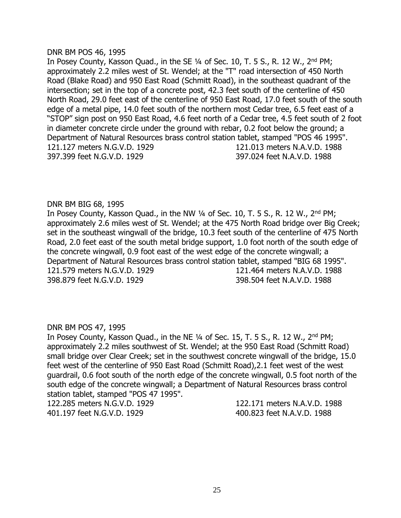#### DNR BM POS 46, 1995

In Posey County, Kasson Quad., in the SE 1/4 of Sec. 10, T. 5 S., R. 12 W., 2<sup>nd</sup> PM; approximately 2.2 miles west of St. Wendel; at the "T" road intersection of 450 North Road (Blake Road) and 950 East Road (Schmitt Road), in the southeast quadrant of the intersection; set in the top of a concrete post, 42.3 feet south of the centerline of 450 North Road, 29.0 feet east of the centerline of 950 East Road, 17.0 feet south of the south edge of a metal pipe, 14.0 feet south of the northern most Cedar tree, 6.5 feet east of a "STOP" sign post on 950 East Road, 4.6 feet north of a Cedar tree, 4.5 feet south of 2 foot in diameter concrete circle under the ground with rebar, 0.2 foot below the ground; a Department of Natural Resources brass control station tablet, stamped "POS 46 1995". 121.127 meters N.G.V.D. 1929 121.013 meters N.A.V.D. 1988 397.399 feet N.G.V.D. 1929 397.024 feet N.A.V.D. 1988

## DNR BM BIG 68, 1995

In Posey County, Kasson Quad., in the NW 1/4 of Sec. 10, T. 5 S., R. 12 W., 2<sup>nd</sup> PM; approximately 2.6 miles west of St. Wendel; at the 475 North Road bridge over Big Creek; set in the southeast wingwall of the bridge, 10.3 feet south of the centerline of 475 North Road, 2.0 feet east of the south metal bridge support, 1.0 foot north of the south edge of the concrete wingwall, 0.9 foot east of the west edge of the concrete wingwall; a Department of Natural Resources brass control station tablet, stamped "BIG 68 1995". 121.579 meters N.G.V.D. 1929 121.464 meters N.A.V.D. 1988 398.879 feet N.G.V.D. 1929 398.504 feet N.A.V.D. 1988

# DNR BM POS 47, 1995

In Posey County, Kasson Quad., in the NE  $\frac{1}{4}$  of Sec. 15, T. 5 S., R. 12 W., 2<sup>nd</sup> PM; approximately 2.2 miles southwest of St. Wendel; at the 950 East Road (Schmitt Road) small bridge over Clear Creek; set in the southwest concrete wingwall of the bridge, 15.0 feet west of the centerline of 950 East Road (Schmitt Road),2.1 feet west of the west guardrail, 0.6 foot south of the north edge of the concrete wingwall, 0.5 foot north of the south edge of the concrete wingwall; a Department of Natural Resources brass control station tablet, stamped "POS 47 1995".

122.285 meters N.G.V.D. 1929 122.171 meters N.A.V.D. 1988 401.197 feet N.G.V.D. 1929 400.823 feet N.A.V.D. 1988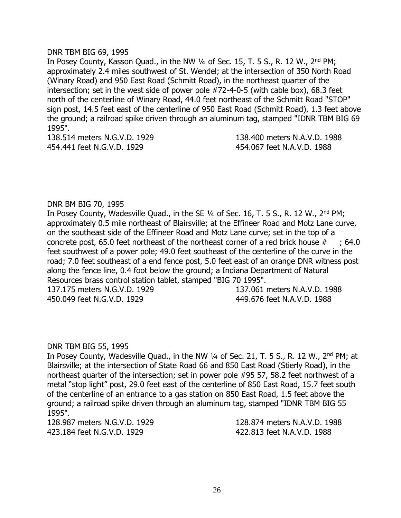## DNR TBM BIG 69, 1995

In Posey County, Kasson Quad., in the NW 1/4 of Sec. 15, T. 5 S., R. 12 W., 2<sup>nd</sup> PM; approximately 2.4 miles southwest of St. Wendel; at the intersection of 350 North Road (Winary Road) and 950 East Road (Schmitt Road), in the northeast quarter of the intersection; set in the west side of power pole #72-4-0-5 (with cable box), 68.3 feet north of the centerline of Winary Road, 44.0 feet northeast of the Schmitt Road "STOP" sign post, 14.5 feet east of the centerline of 950 East Road (Schmitt Road), 1.3 feet above the ground; a railroad spike driven through an aluminum tag, stamped "IDNR TBM BIG 69 1995".

138.514 meters N.G.V.D. 1929 138.400 meters N.A.V.D. 1988 454.441 feet N.G.V.D. 1929 454.067 feet N.A.V.D. 1988

# DNR BM BIG 70, 1995

In Posey County, Wadesville Quad., in the SE 1/4 of Sec. 16, T. 5 S., R. 12 W., 2<sup>nd</sup> PM; approximately 0.5 mile northeast of Blairsville; at the Effineer Road and Motz Lane curve, on the southeast side of the Effineer Road and Motz Lane curve; set in the top of a concrete post, 65.0 feet northeast of the northeast corner of a red brick house  $\#$  ; 64.0 feet southwest of a power pole; 49.0 feet southeast of the centerline of the curve in the road; 7.0 feet southeast of a end fence post, 5.0 feet east of an orange DNR witness post along the fence line, 0.4 foot below the ground; a Indiana Department of Natural Resources brass control station tablet, stamped "BIG 70 1995". 137.175 meters N.G.V.D. 1929 137.061 meters N.A.V.D. 1988

450.049 feet N.G.V.D. 1929 449.676 feet N.A.V.D. 1988

# DNR TBM BIG 55, 1995

In Posey County, Wadesville Quad., in the NW 1/4 of Sec. 21, T. 5 S., R. 12 W., 2<sup>nd</sup> PM; at Blairsville; at the intersection of State Road 66 and 850 East Road (Stierly Road), in the northeast quarter of the intersection; set in power pole #95 57, 58.2 feet northwest of a metal "stop light" post, 29.0 feet east of the centerline of 850 East Road, 15.7 feet south of the centerline of an entrance to a gas station on 850 East Road, 1.5 feet above the ground; a railroad spike driven through an aluminum tag, stamped "IDNR TBM BIG 55 1995".

423.184 feet N.G.V.D. 1929 422.813 feet N.A.V.D. 1988

128.987 meters N.G.V.D. 1929 128.874 meters N.A.V.D. 1988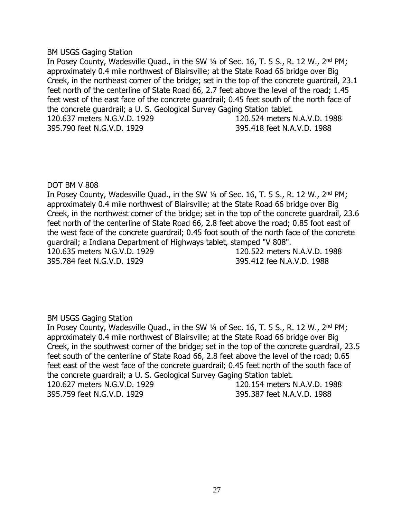#### BM USGS Gaging Station

In Posey County, Wadesville Quad., in the SW 1/4 of Sec. 16, T. 5 S., R. 12 W., 2<sup>nd</sup> PM; approximately 0.4 mile northwest of Blairsville; at the State Road 66 bridge over Big Creek, in the northeast corner of the bridge; set in the top of the concrete guardrail, 23.1 feet north of the centerline of State Road 66, 2.7 feet above the level of the road; 1.45 feet west of the east face of the concrete guardrail; 0.45 feet south of the north face of the concrete guardrail; a U. S. Geological Survey Gaging Station tablet. 120.637 meters N.G.V.D. 1929 120.524 meters N.A.V.D. 1988 395.790 feet N.G.V.D. 1929 395.418 feet N.A.V.D. 1988

## DOT BM V 808

In Posey County, Wadesville Quad., in the SW  $\frac{1}{4}$  of Sec. 16, T. 5 S., R. 12 W., 2<sup>nd</sup> PM; approximately 0.4 mile northwest of Blairsville; at the State Road 66 bridge over Big Creek, in the northwest corner of the bridge; set in the top of the concrete guardrail, 23.6 feet north of the centerline of State Road 66, 2.8 feet above the road; 0.85 foot east of the west face of the concrete guardrail; 0.45 foot south of the north face of the concrete guardrail; a Indiana Department of Highways tablet, stamped "V 808".

395.784 feet N.G.V.D. 1929 395.412 fee N.A.V.D. 1988

120.635 meters N.G.V.D. 1929 120.522 meters N.A.V.D. 1988

# BM USGS Gaging Station

In Posey County, Wadesville Quad., in the SW 1/4 of Sec. 16, T. 5 S., R. 12 W., 2<sup>nd</sup> PM; approximately 0.4 mile northwest of Blairsville; at the State Road 66 bridge over Big Creek, in the southwest corner of the bridge; set in the top of the concrete guardrail, 23.5 feet south of the centerline of State Road 66, 2.8 feet above the level of the road; 0.65 feet east of the west face of the concrete guardrail; 0.45 feet north of the south face of the concrete guardrail; a U. S. Geological Survey Gaging Station tablet. 120.627 meters N.G.V.D. 1929 120.154 meters N.A.V.D. 1988 395.759 feet N.G.V.D. 1929 395.387 feet N.A.V.D. 1988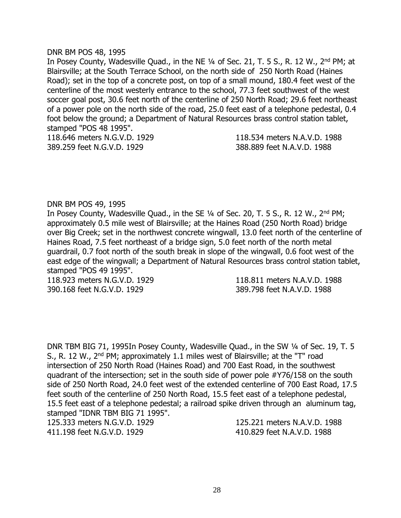#### DNR BM POS 48, 1995

In Posey County, Wadesville Quad., in the NE 1/4 of Sec. 21, T. 5 S., R. 12 W., 2<sup>nd</sup> PM; at Blairsville; at the South Terrace School, on the north side of 250 North Road (Haines Road); set in the top of a concrete post, on top of a small mound, 180.4 feet west of the centerline of the most westerly entrance to the school, 77.3 feet southwest of the west soccer goal post, 30.6 feet north of the centerline of 250 North Road; 29.6 feet northeast of a power pole on the north side of the road, 25.0 feet east of a telephone pedestal, 0.4 foot below the ground; a Department of Natural Resources brass control station tablet, stamped "POS 48 1995". 118.646 meters N.G.V.D. 1929 118.534 meters N.A.V.D. 1988

389.259 feet N.G.V.D. 1929 388.889 feet N.A.V.D. 1988

## DNR BM POS 49, 1995

In Posey County, Wadesville Quad., in the SE 1/4 of Sec. 20, T. 5 S., R. 12 W., 2<sup>nd</sup> PM; approximately 0.5 mile west of Blairsville; at the Haines Road (250 North Road) bridge over Big Creek; set in the northwest concrete wingwall, 13.0 feet north of the centerline of Haines Road, 7.5 feet northeast of a bridge sign, 5.0 feet north of the north metal guardrail, 0.7 foot north of the south break in slope of the wingwall, 0.6 foot west of the east edge of the wingwall; a Department of Natural Resources brass control station tablet, stamped "POS 49 1995".

390.168 feet N.G.V.D. 1929 389.798 feet N.A.V.D. 1988

118.923 meters N.G.V.D. 1929 118.811 meters N.A.V.D. 1988

DNR TBM BIG 71, 1995In Posey County, Wadesville Quad., in the SW ¼ of Sec. 19, T. 5 S., R. 12 W., 2<sup>nd</sup> PM; approximately 1.1 miles west of Blairsville; at the "T" road intersection of 250 North Road (Haines Road) and 700 East Road, in the southwest quadrant of the intersection; set in the south side of power pole #Y76/158 on the south side of 250 North Road, 24.0 feet west of the extended centerline of 700 East Road, 17.5 feet south of the centerline of 250 North Road, 15.5 feet east of a telephone pedestal, 15.5 feet east of a telephone pedestal; a railroad spike driven through an aluminum tag, stamped "IDNR TBM BIG 71 1995".

125.333 meters N.G.V.D. 1929 125.221 meters N.A.V.D. 1988 411.198 feet N.G.V.D. 1929 410.829 feet N.A.V.D. 1988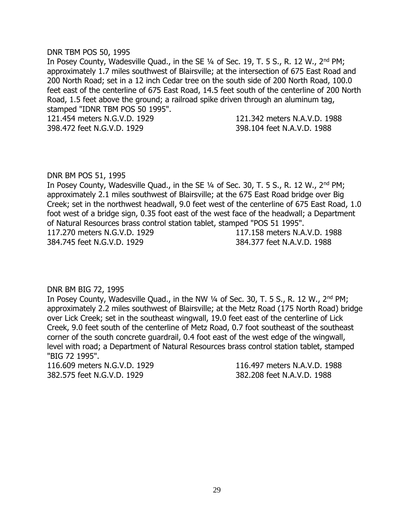#### DNR TBM POS 50, 1995

In Posey County, Wadesville Quad., in the SE 1/4 of Sec. 19, T. 5 S., R. 12 W., 2<sup>nd</sup> PM; approximately 1.7 miles southwest of Blairsville; at the intersection of 675 East Road and 200 North Road; set in a 12 inch Cedar tree on the south side of 200 North Road, 100.0 feet east of the centerline of 675 East Road, 14.5 feet south of the centerline of 200 North Road, 1.5 feet above the ground; a railroad spike driven through an aluminum tag, stamped "IDNR TBM POS 50 1995".

121.454 meters N.G.V.D. 1929 121.342 meters N.A.V.D. 1988 398.472 feet N.G.V.D. 1929 398.104 feet N.A.V.D. 1988

#### DNR BM POS 51, 1995

In Posey County, Wadesville Quad., in the SE 1/4 of Sec. 30, T. 5 S., R. 12 W., 2<sup>nd</sup> PM; approximately 2.1 miles southwest of Blairsville; at the 675 East Road bridge over Big Creek; set in the northwest headwall, 9.0 feet west of the centerline of 675 East Road, 1.0 foot west of a bridge sign, 0.35 foot east of the west face of the headwall; a Department of Natural Resources brass control station tablet, stamped "POS 51 1995". 117.270 meters N.G.V.D. 1929 117.158 meters N.A.V.D. 1988 384.745 feet N.G.V.D. 1929 384.377 feet N.A.V.D. 1988

DNR BM BIG 72, 1995

In Posey County, Wadesville Quad., in the NW 1/4 of Sec. 30, T. 5 S., R. 12 W., 2<sup>nd</sup> PM; approximately 2.2 miles southwest of Blairsville; at the Metz Road (175 North Road) bridge over Lick Creek; set in the southeast wingwall, 19.0 feet east of the centerline of Lick Creek, 9.0 feet south of the centerline of Metz Road, 0.7 foot southeast of the southeast corner of the south concrete guardrail, 0.4 foot east of the west edge of the wingwall, level with road; a Department of Natural Resources brass control station tablet, stamped "BIG 72 1995".

116.609 meters N.G.V.D. 1929 116.497 meters N.A.V.D. 1988 382.575 feet N.G.V.D. 1929 382.208 feet N.A.V.D. 1988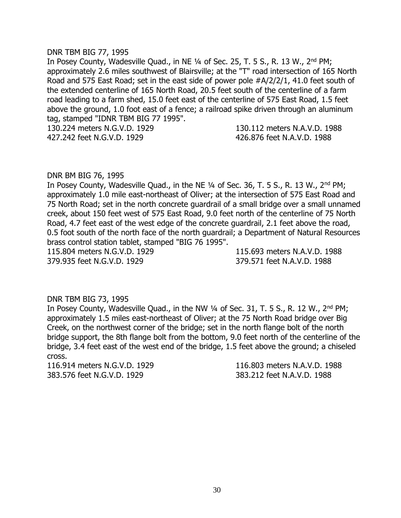#### DNR TBM BIG 77, 1995

In Posey County, Wadesville Quad., in NE 1/4 of Sec. 25, T. 5 S., R. 13 W., 2<sup>nd</sup> PM; approximately 2.6 miles southwest of Blairsville; at the "T" road intersection of 165 North Road and 575 East Road; set in the east side of power pole #A/2/2/1, 41.0 feet south of the extended centerline of 165 North Road, 20.5 feet south of the centerline of a farm road leading to a farm shed, 15.0 feet east of the centerline of 575 East Road, 1.5 feet above the ground, 1.0 foot east of a fence; a railroad spike driven through an aluminum tag, stamped "IDNR TBM BIG 77 1995".

130.224 meters N.G.V.D. 1929 130.112 meters N.A.V.D. 1988

427.242 feet N.G.V.D. 1929 426.876 feet N.A.V.D. 1988

#### DNR BM BIG 76, 1995

In Posey County, Wadesville Quad., in the NE 1/4 of Sec. 36, T. 5 S., R. 13 W., 2<sup>nd</sup> PM; approximately 1.0 mile east-northeast of Oliver; at the intersection of 575 East Road and 75 North Road; set in the north concrete guardrail of a small bridge over a small unnamed creek, about 150 feet west of 575 East Road, 9.0 feet north of the centerline of 75 North Road, 4.7 feet east of the west edge of the concrete guardrail, 2.1 feet above the road, 0.5 foot south of the north face of the north guardrail; a Department of Natural Resources brass control station tablet, stamped "BIG 76 1995".

115.804 meters N.G.V.D. 1929 115.693 meters N.A.V.D. 1988 379.935 feet N.G.V.D. 1929 379.571 feet N.A.V.D. 1988

DNR TBM BIG 73, 1995

In Posey County, Wadesville Quad., in the NW 1/4 of Sec. 31, T. 5 S., R. 12 W., 2<sup>nd</sup> PM; approximately 1.5 miles east-northeast of Oliver; at the 75 North Road bridge over Big Creek, on the northwest corner of the bridge; set in the north flange bolt of the north bridge support, the 8th flange bolt from the bottom, 9.0 feet north of the centerline of the bridge, 3.4 feet east of the west end of the bridge, 1.5 feet above the ground; a chiseled cross.

116.914 meters N.G.V.D. 1929 116.803 meters N.A.V.D. 1988 383.576 feet N.G.V.D. 1929 383.212 feet N.A.V.D. 1988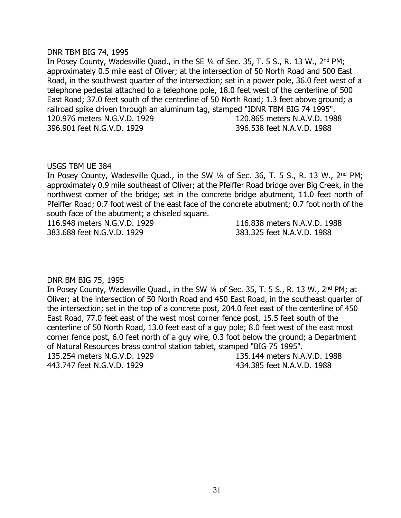#### DNR TBM BIG 74, 1995

In Posey County, Wadesville Quad., in the SE 1/4 of Sec. 35, T. 5 S., R. 13 W., 2<sup>nd</sup> PM; approximately 0.5 mile east of Oliver; at the intersection of 50 North Road and 500 East Road, in the southwest quarter of the intersection; set in a power pole, 36.0 feet west of a telephone pedestal attached to a telephone pole, 18.0 feet west of the centerline of 500 East Road; 37.0 feet south of the centerline of 50 North Road; 1.3 feet above ground; a railroad spike driven through an aluminum tag, stamped "IDNR TBM BIG 74 1995". 120.976 meters N.G.V.D. 1929 120.865 meters N.A.V.D. 1988 396.901 feet N.G.V.D. 1929 396.538 feet N.A.V.D. 1988

## USGS TBM UE 384

In Posey County, Wadesville Quad., in the SW 1/4 of Sec. 36, T. 5 S., R. 13 W., 2<sup>nd</sup> PM; approximately 0.9 mile southeast of Oliver; at the Pfeiffer Road bridge over Big Creek, in the northwest corner of the bridge; set in the concrete bridge abutment, 11.0 feet north of Pfeiffer Road; 0.7 foot west of the east face of the concrete abutment; 0.7 foot north of the south face of the abutment; a chiseled square.

116.948 meters N.G.V.D. 1929 116.838 meters N.A.V.D. 1988 383.688 feet N.G.V.D. 1929 383.325 feet N.A.V.D. 1988

# DNR BM BIG 75, 1995

In Posey County, Wadesville Quad., in the SW 1/4 of Sec. 35, T. 5 S., R. 13 W., 2<sup>nd</sup> PM; at Oliver; at the intersection of 50 North Road and 450 East Road, in the southeast quarter of the intersection; set in the top of a concrete post, 204.0 feet east of the centerline of 450 East Road, 77.0 feet east of the west most corner fence post, 15.5 feet south of the centerline of 50 North Road, 13.0 feet east of a guy pole; 8.0 feet west of the east most corner fence post, 6.0 feet north of a guy wire, 0.3 foot below the ground; a Department of Natural Resources brass control station tablet, stamped "BIG 75 1995". 135.254 meters N.G.V.D. 1929 135.144 meters N.A.V.D. 1988

443.747 feet N.G.V.D. 1929 434.385 feet N.A.V.D. 1988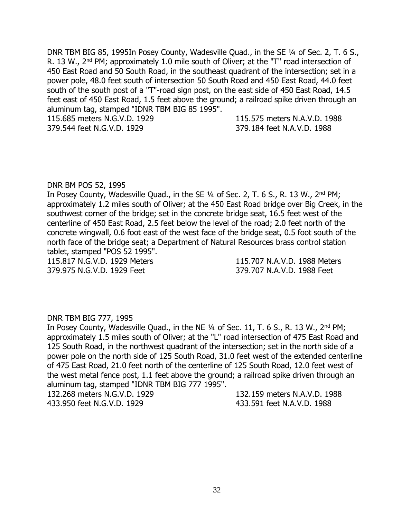DNR TBM BIG 85, 1995In Posey County, Wadesville Quad., in the SE 1/4 of Sec. 2, T. 6 S., R. 13 W., 2<sup>nd</sup> PM; approximately 1.0 mile south of Oliver; at the "T" road intersection of 450 East Road and 50 South Road, in the southeast quadrant of the intersection; set in a power pole, 48.0 feet south of intersection 50 South Road and 450 East Road, 44.0 feet south of the south post of a "T"-road sign post, on the east side of 450 East Road, 14.5 feet east of 450 East Road, 1.5 feet above the ground; a railroad spike driven through an aluminum tag, stamped "IDNR TBM BIG 85 1995".

115.685 meters N.G.V.D. 1929 115.575 meters N.A.V.D. 1988 379.544 feet N.G.V.D. 1929 379.184 feet N.A.V.D. 1988

## DNR BM POS 52, 1995

In Posey County, Wadesville Quad., in the SE 1/4 of Sec. 2, T. 6 S., R. 13 W., 2<sup>nd</sup> PM; approximately 1.2 miles south of Oliver; at the 450 East Road bridge over Big Creek, in the southwest corner of the bridge; set in the concrete bridge seat, 16.5 feet west of the centerline of 450 East Road, 2.5 feet below the level of the road; 2.0 feet north of the concrete wingwall, 0.6 foot east of the west face of the bridge seat, 0.5 foot south of the north face of the bridge seat; a Department of Natural Resources brass control station tablet, stamped "POS 52 1995".

379.975 N.G.V.D. 1929 Feet 379.707 N.A.V.D. 1988 Feet

115.817 N.G.V.D. 1929 Meters 115.707 N.A.V.D. 1988 Meters

#### DNR TBM BIG 777, 1995

In Posey County, Wadesville Quad., in the NE 1/4 of Sec. 11, T. 6 S., R. 13 W., 2<sup>nd</sup> PM; approximately 1.5 miles south of Oliver; at the "L" road intersection of 475 East Road and 125 South Road, in the northwest quadrant of the intersection; set in the north side of a power pole on the north side of 125 South Road, 31.0 feet west of the extended centerline of 475 East Road, 21.0 feet north of the centerline of 125 South Road, 12.0 feet west of the west metal fence post, 1.1 feet above the ground; a railroad spike driven through an aluminum tag, stamped "IDNR TBM BIG 777 1995".

433.950 feet N.G.V.D. 1929 433.591 feet N.A.V.D. 1988

132.268 meters N.G.V.D. 1929 132.159 meters N.A.V.D. 1988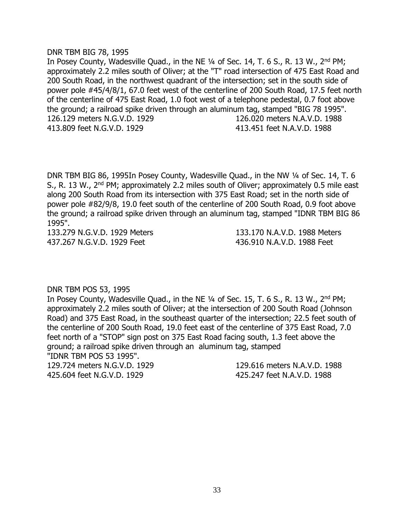#### DNR TBM BIG 78, 1995

In Posey County, Wadesville Quad., in the NE 1/4 of Sec. 14, T. 6 S., R. 13 W., 2<sup>nd</sup> PM; approximately 2.2 miles south of Oliver; at the "T" road intersection of 475 East Road and 200 South Road, in the northwest quadrant of the intersection; set in the south side of power pole #45/4/8/1, 67.0 feet west of the centerline of 200 South Road, 17.5 feet north of the centerline of 475 East Road, 1.0 foot west of a telephone pedestal, 0.7 foot above the ground; a railroad spike driven through an aluminum tag, stamped "BIG 78 1995". 126.129 meters N.G.V.D. 1929 126.020 meters N.A.V.D. 1988 413.809 feet N.G.V.D. 1929 413.451 feet N.A.V.D. 1988

DNR TBM BIG 86, 1995In Posey County, Wadesville Quad., in the NW ¼ of Sec. 14, T. 6 S., R. 13 W., 2<sup>nd</sup> PM; approximately 2.2 miles south of Oliver; approximately 0.5 mile east along 200 South Road from its intersection with 375 East Road; set in the north side of power pole #82/9/8, 19.0 feet south of the centerline of 200 South Road, 0.9 foot above the ground; a railroad spike driven through an aluminum tag, stamped "IDNR TBM BIG 86 1995".

437.267 N.G.V.D. 1929 Feet 436.910 N.A.V.D. 1988 Feet

133.279 N.G.V.D. 1929 Meters 133.170 N.A.V.D. 1988 Meters

# DNR TBM POS 53, 1995

In Posey County, Wadesville Quad., in the NE 1/4 of Sec. 15, T. 6 S., R. 13 W., 2<sup>nd</sup> PM; approximately 2.2 miles south of Oliver; at the intersection of 200 South Road (Johnson Road) and 375 East Road, in the southeast quarter of the intersection; 22.5 feet south of the centerline of 200 South Road, 19.0 feet east of the centerline of 375 East Road, 7.0 feet north of a "STOP" sign post on 375 East Road facing south, 1.3 feet above the ground; a railroad spike driven through an aluminum tag, stamped "IDNR TBM POS 53 1995".

129.724 meters N.G.V.D. 1929 129.616 meters N.A.V.D. 1988 425.604 feet N.G.V.D. 1929 425.247 feet N.A.V.D. 1988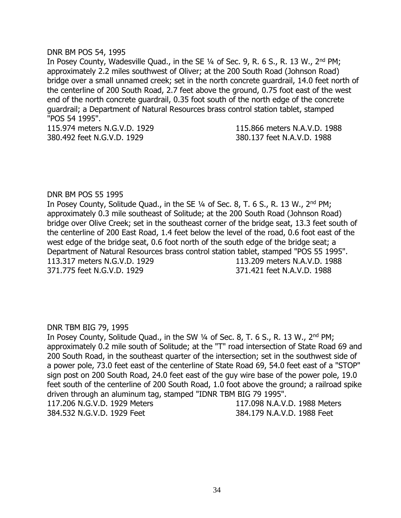## DNR BM POS 54, 1995

In Posey County, Wadesville Quad., in the SE 1/4 of Sec. 9, R. 6 S., R. 13 W., 2<sup>nd</sup> PM; approximately 2.2 miles southwest of Oliver; at the 200 South Road (Johnson Road) bridge over a small unnamed creek; set in the north concrete guardrail, 14.0 feet north of the centerline of 200 South Road, 2.7 feet above the ground, 0.75 foot east of the west end of the north concrete guardrail, 0.35 foot south of the north edge of the concrete guardrail; a Department of Natural Resources brass control station tablet, stamped "POS 54 1995".

115.974 meters N.G.V.D. 1929 115.866 meters N.A.V.D. 1988 380.492 feet N.G.V.D. 1929 380.137 feet N.A.V.D. 1988

# DNR BM POS 55 1995

In Posey County, Solitude Quad., in the SE 1/4 of Sec. 8, T. 6 S., R. 13 W., 2<sup>nd</sup> PM; approximately 0.3 mile southeast of Solitude; at the 200 South Road (Johnson Road) bridge over Olive Creek; set in the southeast corner of the bridge seat, 13.3 feet south of the centerline of 200 East Road, 1.4 feet below the level of the road, 0.6 foot east of the west edge of the bridge seat, 0.6 foot north of the south edge of the bridge seat; a Department of Natural Resources brass control station tablet, stamped "POS 55 1995". 113.317 meters N.G.V.D. 1929 113.209 meters N.A.V.D. 1988 371.775 feet N.G.V.D. 1929 371.421 feet N.A.V.D. 1988

# DNR TBM BIG 79, 1995

In Posey County, Solitude Quad., in the SW 1/4 of Sec. 8, T. 6 S., R. 13 W., 2<sup>nd</sup> PM; approximately 0.2 mile south of Solitude; at the "T" road intersection of State Road 69 and 200 South Road, in the southeast quarter of the intersection; set in the southwest side of a power pole, 73.0 feet east of the centerline of State Road 69, 54.0 feet east of a "STOP" sign post on 200 South Road, 24.0 feet east of the guy wire base of the power pole, 19.0 feet south of the centerline of 200 South Road, 1.0 foot above the ground; a railroad spike driven through an aluminum tag, stamped "IDNR TBM BIG 79 1995". 117.206 N.G.V.D. 1929 Meters 117.098 N.A.V.D. 1988 Meters 384.532 N.G.V.D. 1929 Feet 384.179 N.A.V.D. 1988 Feet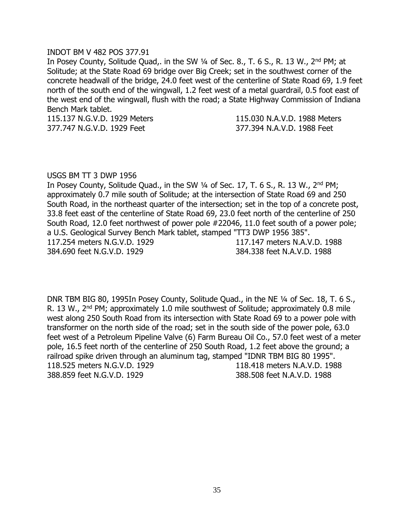#### INDOT BM V 482 POS 377.91

In Posey County, Solitude Quad,. in the SW 1/4 of Sec. 8., T. 6 S., R. 13 W., 2<sup>nd</sup> PM; at Solitude; at the State Road 69 bridge over Big Creek; set in the southwest corner of the concrete headwall of the bridge, 24.0 feet west of the centerline of State Road 69, 1.9 feet north of the south end of the wingwall, 1.2 feet west of a metal guardrail, 0.5 foot east of the west end of the wingwall, flush with the road; a State Highway Commission of Indiana Bench Mark tablet.

377.747 N.G.V.D. 1929 Feet 377.394 N.A.V.D. 1988 Feet

115.137 N.G.V.D. 1929 Meters 115.030 N.A.V.D. 1988 Meters

#### USGS BM TT 3 DWP 1956

In Posey County, Solitude Quad., in the SW 1/4 of Sec. 17, T. 6 S., R. 13 W., 2<sup>nd</sup> PM; approximately 0.7 mile south of Solitude; at the intersection of State Road 69 and 250 South Road, in the northeast quarter of the intersection; set in the top of a concrete post, 33.8 feet east of the centerline of State Road 69, 23.0 feet north of the centerline of 250 South Road, 12.0 feet northwest of power pole #22046, 11.0 feet south of a power pole; a U.S. Geological Survey Bench Mark tablet, stamped "TT3 DWP 1956 385". 117.254 meters N.G.V.D. 1929 117.147 meters N.A.V.D. 1988 384.690 feet N.G.V.D. 1929 384.338 feet N.A.V.D. 1988

DNR TBM BIG 80, 1995In Posey County, Solitude Quad., in the NE ¼ of Sec. 18, T. 6 S., R. 13 W., 2<sup>nd</sup> PM; approximately 1.0 mile southwest of Solitude; approximately 0.8 mile west along 250 South Road from its intersection with State Road 69 to a power pole with transformer on the north side of the road; set in the south side of the power pole, 63.0 feet west of a Petroleum Pipeline Valve (6) Farm Bureau Oil Co., 57.0 feet west of a meter pole, 16.5 feet north of the centerline of 250 South Road, 1.2 feet above the ground; a railroad spike driven through an aluminum tag, stamped "IDNR TBM BIG 80 1995". 118.525 meters N.G.V.D. 1929 118.418 meters N.A.V.D. 1988 388.859 feet N.G.V.D. 1929 388.508 feet N.A.V.D. 1988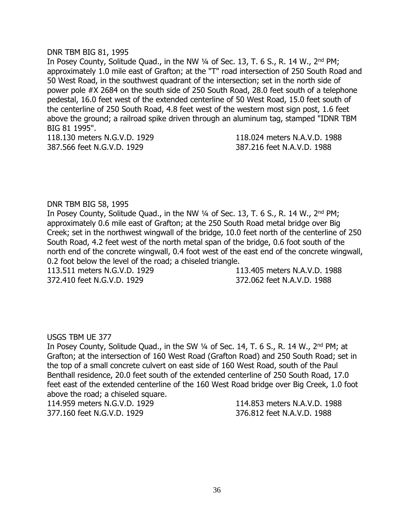## DNR TBM BIG 81, 1995

In Posey County, Solitude Quad., in the NW  $\frac{1}{4}$  of Sec. 13, T. 6 S., R. 14 W., 2<sup>nd</sup> PM; approximately 1.0 mile east of Grafton; at the "T" road intersection of 250 South Road and 50 West Road, in the southwest quadrant of the intersection; set in the north side of power pole #X 2684 on the south side of 250 South Road, 28.0 feet south of a telephone pedestal, 16.0 feet west of the extended centerline of 50 West Road, 15.0 feet south of the centerline of 250 South Road, 4.8 feet west of the western most sign post, 1.6 feet above the ground; a railroad spike driven through an aluminum tag, stamped "IDNR TBM BIG 81 1995".

118.130 meters N.G.V.D. 1929 118.024 meters N.A.V.D. 1988 387.566 feet N.G.V.D. 1929 387.216 feet N.A.V.D. 1988

# DNR TBM BIG 58, 1995

In Posey County, Solitude Quad., in the NW 1/4 of Sec. 13, T. 6 S., R. 14 W., 2<sup>nd</sup> PM; approximately 0.6 mile east of Grafton; at the 250 South Road metal bridge over Big Creek; set in the northwest wingwall of the bridge, 10.0 feet north of the centerline of 250 South Road, 4.2 feet west of the north metal span of the bridge, 0.6 foot south of the north end of the concrete wingwall, 0.4 foot west of the east end of the concrete wingwall, 0.2 foot below the level of the road; a chiseled triangle.

372.410 feet N.G.V.D. 1929 372.062 feet N.A.V.D. 1988

113.511 meters N.G.V.D. 1929 113.405 meters N.A.V.D. 1988

# USGS TBM UE 377

In Posey County, Solitude Quad., in the SW 1/4 of Sec. 14, T. 6 S., R. 14 W., 2<sup>nd</sup> PM; at Grafton; at the intersection of 160 West Road (Grafton Road) and 250 South Road; set in the top of a small concrete culvert on east side of 160 West Road, south of the Paul Benthall residence, 20.0 feet south of the extended centerline of 250 South Road, 17.0 feet east of the extended centerline of the 160 West Road bridge over Big Creek, 1.0 foot above the road; a chiseled square.

114.959 meters N.G.V.D. 1929 114.853 meters N.A.V.D. 1988 377.160 feet N.G.V.D. 1929 376.812 feet N.A.V.D. 1988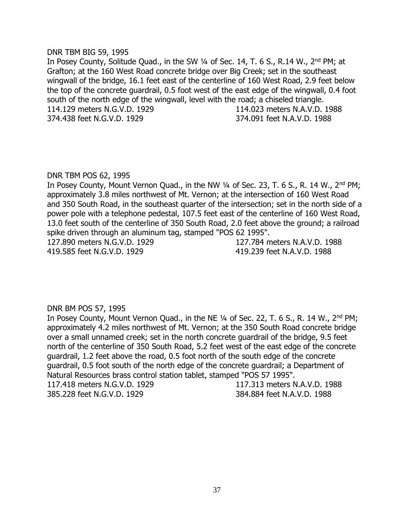#### DNR TBM BIG 59, 1995

In Posey County, Solitude Quad., in the SW 1/4 of Sec. 14, T. 6 S., R.14 W., 2<sup>nd</sup> PM; at Grafton; at the 160 West Road concrete bridge over Big Creek; set in the southeast wingwall of the bridge, 16.1 feet east of the centerline of 160 West Road, 2.9 feet below the top of the concrete guardrail, 0.5 foot west of the east edge of the wingwall, 0.4 foot south of the north edge of the wingwall, level with the road; a chiseled triangle. 114.129 meters N.G.V.D. 1929 114.023 meters N.A.V.D. 1988 374.438 feet N.G.V.D. 1929 374.091 feet N.A.V.D. 1988

## DNR TBM POS 62, 1995

In Posey County, Mount Vernon Quad., in the NW 1/4 of Sec. 23, T. 6 S., R. 14 W., 2<sup>nd</sup> PM; approximately 3.8 miles northwest of Mt. Vernon; at the intersection of 160 West Road and 350 South Road, in the southeast quarter of the intersection; set in the north side of a power pole with a telephone pedestal, 107.5 feet east of the centerline of 160 West Road, 13.0 feet south of the centerline of 350 South Road, 2.0 feet above the ground; a railroad spike driven through an aluminum tag, stamped "POS 62 1995". 127.890 meters N.G.V.D. 1929 127.784 meters N.A.V.D. 1988

419.585 feet N.G.V.D. 1929 419.239 feet N.A.V.D. 1988

# DNR BM POS 57, 1995

In Posey County, Mount Vernon Quad., in the NE 1/4 of Sec. 22, T. 6 S., R. 14 W., 2<sup>nd</sup> PM; approximately 4.2 miles northwest of Mt. Vernon; at the 350 South Road concrete bridge over a small unnamed creek; set in the north concrete guardrail of the bridge, 9.5 feet north of the centerline of 350 South Road, 5.2 feet west of the east edge of the concrete guardrail, 1.2 feet above the road, 0.5 foot north of the south edge of the concrete guardrail, 0.5 foot south of the north edge of the concrete guardrail; a Department of Natural Resources brass control station tablet, stamped "POS 57 1995". 117.418 meters N.G.V.D. 1929 117.313 meters N.A.V.D. 1988

385.228 feet N.G.V.D. 1929 384.884 feet N.A.V.D. 1988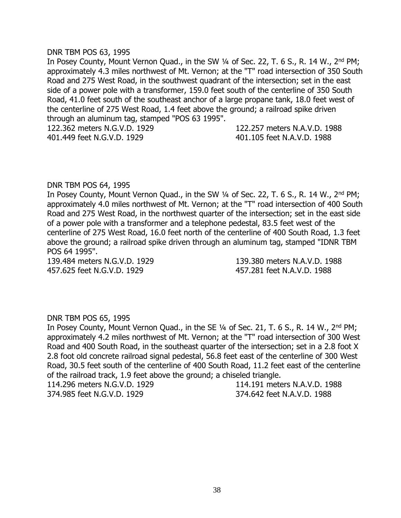#### DNR TBM POS 63, 1995

In Posey County, Mount Vernon Quad., in the SW 1/4 of Sec. 22, T. 6 S., R. 14 W., 2<sup>nd</sup> PM; approximately 4.3 miles northwest of Mt. Vernon; at the "T" road intersection of 350 South Road and 275 West Road, in the southwest quadrant of the intersection; set in the east side of a power pole with a transformer, 159.0 feet south of the centerline of 350 South Road, 41.0 feet south of the southeast anchor of a large propane tank, 18.0 feet west of the centerline of 275 West Road, 1.4 feet above the ground; a railroad spike driven through an aluminum tag, stamped "POS 63 1995".

122.362 meters N.G.V.D. 1929 122.257 meters N.A.V.D. 1988 401.449 feet N.G.V.D. 1929 401.105 feet N.A.V.D. 1988

#### DNR TBM POS 64, 1995

In Posey County, Mount Vernon Quad., in the SW 1/4 of Sec. 22, T. 6 S., R. 14 W., 2<sup>nd</sup> PM; approximately 4.0 miles northwest of Mt. Vernon; at the "T" road intersection of 400 South Road and 275 West Road, in the northwest quarter of the intersection; set in the east side of a power pole with a transformer and a telephone pedestal, 83.5 feet west of the centerline of 275 West Road, 16.0 feet north of the centerline of 400 South Road, 1.3 feet above the ground; a railroad spike driven through an aluminum tag, stamped "IDNR TBM POS 64 1995".

457.625 feet N.G.V.D. 1929 457.281 feet N.A.V.D. 1988

139.484 meters N.G.V.D. 1929 139.380 meters N.A.V.D. 1988

#### DNR TBM POS 65, 1995

In Posey County, Mount Vernon Quad., in the SE 1/4 of Sec. 21, T. 6 S., R. 14 W., 2<sup>nd</sup> PM; approximately 4.2 miles northwest of Mt. Vernon; at the "T" road intersection of 300 West Road and 400 South Road, in the southeast quarter of the intersection; set in a 2.8 foot X 2.8 foot old concrete railroad signal pedestal, 56.8 feet east of the centerline of 300 West Road, 30.5 feet south of the centerline of 400 South Road, 11.2 feet east of the centerline of the railroad track, 1.9 feet above the ground; a chiseled triangle.

374.985 feet N.G.V.D. 1929 374.642 feet N.A.V.D. 1988

114.296 meters N.G.V.D. 1929 114.191 meters N.A.V.D. 1988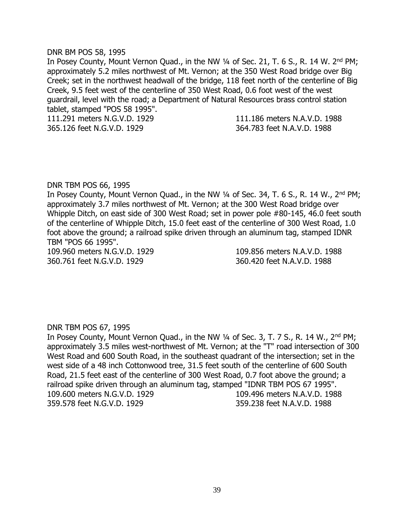## DNR BM POS 58, 1995

In Posey County, Mount Vernon Quad., in the NW 1/4 of Sec. 21, T. 6 S., R. 14 W. 2<sup>nd</sup> PM; approximately 5.2 miles northwest of Mt. Vernon; at the 350 West Road bridge over Big Creek; set in the northwest headwall of the bridge, 118 feet north of the centerline of Big Creek, 9.5 feet west of the centerline of 350 West Road, 0.6 foot west of the west guardrail, level with the road; a Department of Natural Resources brass control station tablet, stamped "POS 58 1995".

111.291 meters N.G.V.D. 1929 111.186 meters N.A.V.D. 1988 365.126 feet N.G.V.D. 1929 364.783 feet N.A.V.D. 1988

## DNR TBM POS 66, 1995

In Posey County, Mount Vernon Quad., in the NW 1/4 of Sec. 34, T. 6 S., R. 14 W., 2<sup>nd</sup> PM; approximately 3.7 miles northwest of Mt. Vernon; at the 300 West Road bridge over Whipple Ditch, on east side of 300 West Road; set in power pole #80-145, 46.0 feet south of the centerline of Whipple Ditch, 15.0 feet east of the centerline of 300 West Road, 1.0 foot above the ground; a railroad spike driven through an aluminum tag, stamped IDNR TBM "POS 66 1995".

109.960 meters N.G.V.D. 1929 109.856 meters N.A.V.D. 1988 360.761 feet N.G.V.D. 1929 360.420 feet N.A.V.D. 1988

# DNR TBM POS 67, 1995

In Posey County, Mount Vernon Quad., in the NW 1/4 of Sec. 3, T. 7 S., R. 14 W., 2<sup>nd</sup> PM; approximately 3.5 miles west-northwest of Mt. Vernon; at the "T" road intersection of 300 West Road and 600 South Road, in the southeast quadrant of the intersection; set in the west side of a 48 inch Cottonwood tree, 31.5 feet south of the centerline of 600 South Road, 21.5 feet east of the centerline of 300 West Road, 0.7 foot above the ground; a railroad spike driven through an aluminum tag, stamped "IDNR TBM POS 67 1995". 109.600 meters N.G.V.D. 1929 109.496 meters N.A.V.D. 1988 359.578 feet N.G.V.D. 1929 359.238 feet N.A.V.D. 1988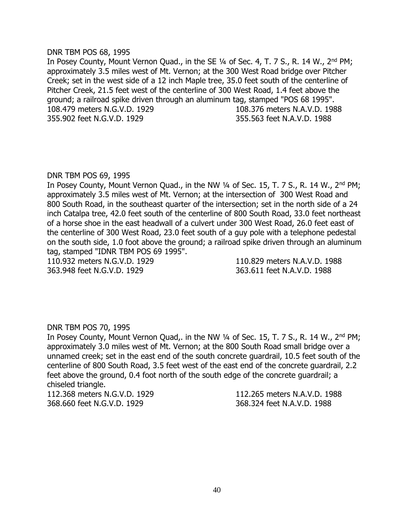#### DNR TBM POS 68, 1995

In Posey County, Mount Vernon Quad., in the SE 1/4 of Sec. 4, T. 7 S., R. 14 W., 2<sup>nd</sup> PM; approximately 3.5 miles west of Mt. Vernon; at the 300 West Road bridge over Pitcher Creek; set in the west side of a 12 inch Maple tree, 35.0 feet south of the centerline of Pitcher Creek, 21.5 feet west of the centerline of 300 West Road, 1.4 feet above the ground; a railroad spike driven through an aluminum tag, stamped "POS 68 1995". 108.479 meters N.G.V.D. 1929 108.376 meters N.A.V.D. 1988 355.902 feet N.G.V.D. 1929 355.563 feet N.A.V.D. 1988

## DNR TBM POS 69, 1995

In Posey County, Mount Vernon Quad., in the NW 1/4 of Sec. 15, T. 7 S., R. 14 W., 2<sup>nd</sup> PM; approximately 3.5 miles west of Mt. Vernon; at the intersection of 300 West Road and 800 South Road, in the southeast quarter of the intersection; set in the north side of a 24 inch Catalpa tree, 42.0 feet south of the centerline of 800 South Road, 33.0 feet northeast of a horse shoe in the east headwall of a culvert under 300 West Road, 26.0 feet east of the centerline of 300 West Road, 23.0 feet south of a guy pole with a telephone pedestal on the south side, 1.0 foot above the ground; a railroad spike driven through an aluminum tag, stamped "IDNR TBM POS 69 1995".

363.948 feet N.G.V.D. 1929 363.611 feet N.A.V.D. 1988

110.932 meters N.G.V.D. 1929 110.829 meters N.A.V.D. 1988

# DNR TBM POS 70, 1995

In Posey County, Mount Vernon Quad,. in the NW 1/4 of Sec. 15, T. 7 S., R. 14 W., 2<sup>nd</sup> PM; approximately 3.0 miles west of Mt. Vernon; at the 800 South Road small bridge over a unnamed creek; set in the east end of the south concrete guardrail, 10.5 feet south of the centerline of 800 South Road, 3.5 feet west of the east end of the concrete guardrail, 2.2 feet above the ground, 0.4 foot north of the south edge of the concrete guardrail; a chiseled triangle.

368.660 feet N.G.V.D. 1929 368.324 feet N.A.V.D. 1988

112.368 meters N.G.V.D. 1929 112.265 meters N.A.V.D. 1988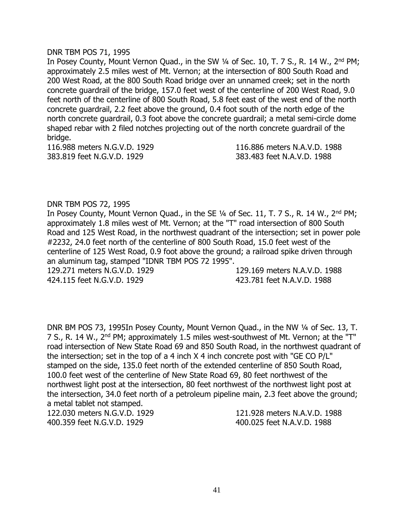## DNR TBM POS 71, 1995

In Posey County, Mount Vernon Quad., in the SW 1/4 of Sec. 10, T. 7 S., R. 14 W., 2<sup>nd</sup> PM; approximately 2.5 miles west of Mt. Vernon; at the intersection of 800 South Road and 200 West Road, at the 800 South Road bridge over an unnamed creek; set in the north concrete guardrail of the bridge, 157.0 feet west of the centerline of 200 West Road, 9.0 feet north of the centerline of 800 South Road, 5.8 feet east of the west end of the north concrete guardrail, 2.2 feet above the ground, 0.4 foot south of the north edge of the north concrete guardrail, 0.3 foot above the concrete guardrail; a metal semi-circle dome shaped rebar with 2 filed notches projecting out of the north concrete guardrail of the bridge.

383.819 feet N.G.V.D. 1929 383.483 feet N.A.V.D. 1988

116.988 meters N.G.V.D. 1929 116.886 meters N.A.V.D. 1988

# DNR TBM POS 72, 1995

In Posey County, Mount Vernon Quad., in the SE 1/4 of Sec. 11, T. 7 S., R. 14 W., 2<sup>nd</sup> PM; approximately 1.8 miles west of Mt. Vernon; at the "T" road intersection of 800 South Road and 125 West Road, in the northwest quadrant of the intersection; set in power pole #2232, 24.0 feet north of the centerline of 800 South Road, 15.0 feet west of the centerline of 125 West Road, 0.9 foot above the ground; a railroad spike driven through an aluminum tag, stamped "IDNR TBM POS 72 1995".

424.115 feet N.G.V.D. 1929 423.781 feet N.A.V.D. 1988

129.271 meters N.G.V.D. 1929 129.169 meters N.A.V.D. 1988

DNR BM POS 73, 1995In Posey County, Mount Vernon Quad., in the NW ¼ of Sec. 13, T. 7 S., R. 14 W., 2<sup>nd</sup> PM; approximately 1.5 miles west-southwest of Mt. Vernon; at the "T" road intersection of New State Road 69 and 850 South Road, in the northwest quadrant of the intersection; set in the top of a 4 inch  $X$  4 inch concrete post with "GE CO P/L" stamped on the side, 135.0 feet north of the extended centerline of 850 South Road, 100.0 feet west of the centerline of New State Road 69, 80 feet northwest of the northwest light post at the intersection, 80 feet northwest of the northwest light post at the intersection, 34.0 feet north of a petroleum pipeline main, 2.3 feet above the ground; a metal tablet not stamped.

400.359 feet N.G.V.D. 1929 400.025 feet N.A.V.D. 1988

122.030 meters N.G.V.D. 1929 121.928 meters N.A.V.D. 1988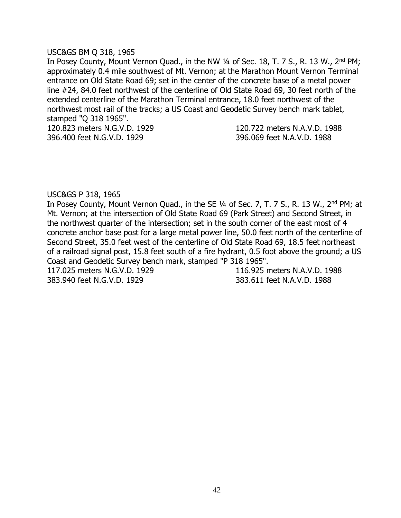## USC&GS BM Q 318, 1965

In Posey County, Mount Vernon Quad., in the NW 1/4 of Sec. 18, T. 7 S., R. 13 W., 2<sup>nd</sup> PM; approximately 0.4 mile southwest of Mt. Vernon; at the Marathon Mount Vernon Terminal entrance on Old State Road 69; set in the center of the concrete base of a metal power line #24, 84.0 feet northwest of the centerline of Old State Road 69, 30 feet north of the extended centerline of the Marathon Terminal entrance, 18.0 feet northwest of the northwest most rail of the tracks; a US Coast and Geodetic Survey bench mark tablet, stamped "Q 318 1965".

396.400 feet N.G.V.D. 1929 396.069 feet N.A.V.D. 1988

120.823 meters N.G.V.D. 1929 120.722 meters N.A.V.D. 1988

# USC&GS P 318, 1965

In Posey County, Mount Vernon Quad., in the SE 1/4 of Sec. 7, T. 7 S., R. 13 W., 2<sup>nd</sup> PM; at Mt. Vernon; at the intersection of Old State Road 69 (Park Street) and Second Street, in the northwest quarter of the intersection; set in the south corner of the east most of 4 concrete anchor base post for a large metal power line, 50.0 feet north of the centerline of Second Street, 35.0 feet west of the centerline of Old State Road 69, 18.5 feet northeast of a railroad signal post, 15.8 feet south of a fire hydrant, 0.5 foot above the ground; a US Coast and Geodetic Survey bench mark, stamped "P 318 1965".

383.940 feet N.G.V.D. 1929 383.611 feet N.A.V.D. 1988

117.025 meters N.G.V.D. 1929 116.925 meters N.A.V.D. 1988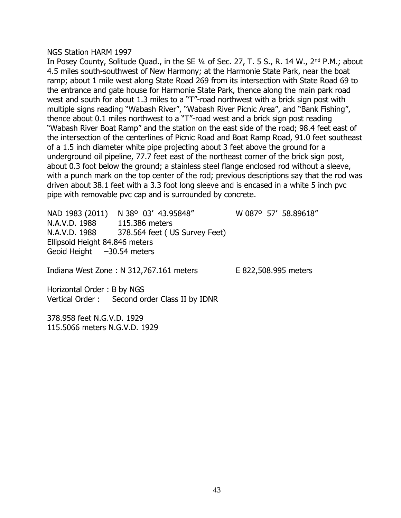#### NGS Station HARM 1997

In Posey County, Solitude Quad., in the SE 1/4 of Sec. 27, T. 5 S., R. 14 W., 2<sup>nd</sup> P.M.; about 4.5 miles south-southwest of New Harmony; at the Harmonie State Park, near the boat ramp; about 1 mile west along State Road 269 from its intersection with State Road 69 to the entrance and gate house for Harmonie State Park, thence along the main park road west and south for about 1.3 miles to a "T"-road northwest with a brick sign post with multiple signs reading "Wabash River", "Wabash River Picnic Area", and "Bank Fishing", thence about 0.1 miles northwest to a "T"-road west and a brick sign post reading "Wabash River Boat Ramp" and the station on the east side of the road; 98.4 feet east of the intersection of the centerlines of Picnic Road and Boat Ramp Road, 91.0 feet southeast of a 1.5 inch diameter white pipe projecting about 3 feet above the ground for a underground oil pipeline, 77.7 feet east of the northeast corner of the brick sign post, about 0.3 foot below the ground; a stainless steel flange enclosed rod without a sleeve, with a punch mark on the top center of the rod; previous descriptions say that the rod was driven about 38.1 feet with a 3.3 foot long sleeve and is encased in a white 5 inch pvc pipe with removable pvc cap and is surrounded by concrete.

NAD 1983 (2011) N 38º 03' 43.95848" W 087º 57' 58.89618" N.A.V.D. 1988 115.386 meters N.A.V.D. 1988 378.564 feet ( US Survey Feet) Ellipsoid Height 84.846 meters Geoid Height –30.54 meters

Indiana West Zone : N 312,767.161 meters E 822,508.995 meters

Horizontal Order : B by NGS Vertical Order : Second order Class II by IDNR

378.958 feet N.G.V.D. 1929 115.5066 meters N.G.V.D. 1929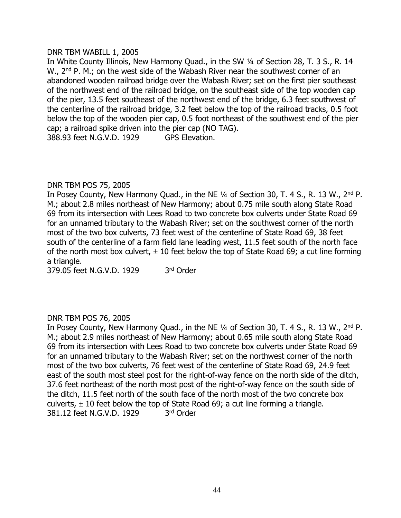## DNR TBM WABILL 1, 2005

In White County Illinois, New Harmony Ouad., in the SW 1/4 of Section 28, T. 3 S., R. 14 W., 2<sup>nd</sup> P. M.; on the west side of the Wabash River near the southwest corner of an abandoned wooden railroad bridge over the Wabash River; set on the first pier southeast of the northwest end of the railroad bridge, on the southeast side of the top wooden cap of the pier, 13.5 feet southeast of the northwest end of the bridge, 6.3 feet southwest of the centerline of the railroad bridge, 3.2 feet below the top of the railroad tracks, 0.5 foot below the top of the wooden pier cap, 0.5 foot northeast of the southwest end of the pier cap; a railroad spike driven into the pier cap (NO TAG). 388.93 feet N.G.V.D. 1929 GPS Elevation.

# DNR TBM POS 75, 2005

In Posey County, New Harmony Quad., in the NE 1/4 of Section 30, T. 4 S., R. 13 W., 2<sup>nd</sup> P. M.; about 2.8 miles northeast of New Harmony; about 0.75 mile south along State Road 69 from its intersection with Lees Road to two concrete box culverts under State Road 69 for an unnamed tributary to the Wabash River; set on the southwest corner of the north most of the two box culverts, 73 feet west of the centerline of State Road 69, 38 feet south of the centerline of a farm field lane leading west, 11.5 feet south of the north face of the north most box culvert,  $\pm$  10 feet below the top of State Road 69; a cut line forming a triangle.

379.05 feet N.G.V.D. 1929 3 3rd Order

# DNR TBM POS 76, 2005

In Posey County, New Harmony Quad., in the NE 1/4 of Section 30, T. 4 S., R. 13 W., 2<sup>nd</sup> P. M.; about 2.9 miles northeast of New Harmony; about 0.65 mile south along State Road 69 from its intersection with Lees Road to two concrete box culverts under State Road 69 for an unnamed tributary to the Wabash River; set on the northwest corner of the north most of the two box culverts, 76 feet west of the centerline of State Road 69, 24.9 feet east of the south most steel post for the right-of-way fence on the north side of the ditch, 37.6 feet northeast of the north most post of the right-of-way fence on the south side of the ditch, 11.5 feet north of the south face of the north most of the two concrete box culverts,  $\pm$  10 feet below the top of State Road 69; a cut line forming a triangle. 381.12 feet N.G.V.D. 1929 3 3rd Order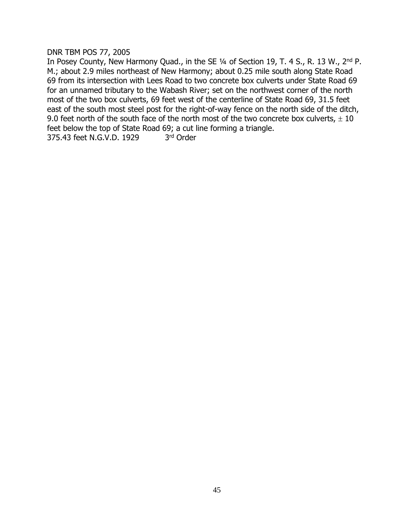DNR TBM POS 77, 2005

In Posey County, New Harmony Quad., in the SE 1/4 of Section 19, T. 4 S., R. 13 W., 2<sup>nd</sup> P. M.; about 2.9 miles northeast of New Harmony; about 0.25 mile south along State Road 69 from its intersection with Lees Road to two concrete box culverts under State Road 69 for an unnamed tributary to the Wabash River; set on the northwest corner of the north most of the two box culverts, 69 feet west of the centerline of State Road 69, 31.5 feet east of the south most steel post for the right-of-way fence on the north side of the ditch, 9.0 feet north of the south face of the north most of the two concrete box culverts,  $\pm$  10 feet below the top of State Road 69; a cut line forming a triangle. 375.43 feet N.G.V.D. 1929 3rd Order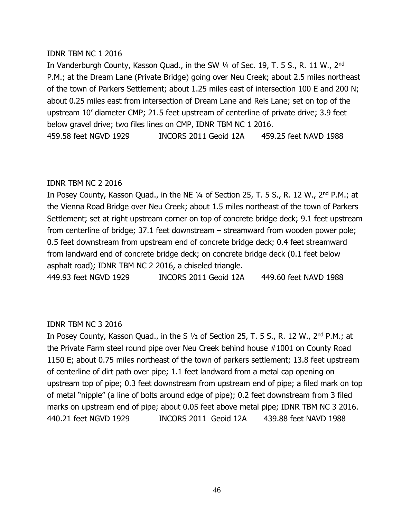# IDNR TBM NC 1 2016

In Vanderburgh County, Kasson Quad., in the SW 1/4 of Sec. 19, T. 5 S., R. 11 W., 2<sup>nd</sup> P.M.; at the Dream Lane (Private Bridge) going over Neu Creek; about 2.5 miles northeast of the town of Parkers Settlement; about 1.25 miles east of intersection 100 E and 200 N; about 0.25 miles east from intersection of Dream Lane and Reis Lane; set on top of the upstream 10' diameter CMP; 21.5 feet upstream of centerline of private drive; 3.9 feet below gravel drive; two files lines on CMP, IDNR TBM NC 1 2016. 459.58 feet NGVD 1929 INCORS 2011 Geoid 12A 459.25 feet NAVD 1988

# IDNR TBM NC 2 2016

In Posey County, Kasson Quad., in the NE 1/4 of Section 25, T. 5 S., R. 12 W., 2<sup>nd</sup> P.M.; at the Vienna Road Bridge over Neu Creek; about 1.5 miles northeast of the town of Parkers Settlement; set at right upstream corner on top of concrete bridge deck; 9.1 feet upstream from centerline of bridge; 37.1 feet downstream – streamward from wooden power pole; 0.5 feet downstream from upstream end of concrete bridge deck; 0.4 feet streamward from landward end of concrete bridge deck; on concrete bridge deck (0.1 feet below asphalt road); IDNR TBM NC 2 2016, a chiseled triangle.

449.93 feet NGVD 1929 INCORS 2011 Geoid 12A 449.60 feet NAVD 1988

# IDNR TBM NC 3 2016

In Posey County, Kasson Quad., in the S 1/2 of Section 25, T. 5 S., R. 12 W., 2<sup>nd</sup> P.M.; at the Private Farm steel round pipe over Neu Creek behind house #1001 on County Road 1150 E; about 0.75 miles northeast of the town of parkers settlement; 13.8 feet upstream of centerline of dirt path over pipe; 1.1 feet landward from a metal cap opening on upstream top of pipe; 0.3 feet downstream from upstream end of pipe; a filed mark on top of metal "nipple" (a line of bolts around edge of pipe); 0.2 feet downstream from 3 filed marks on upstream end of pipe; about 0.05 feet above metal pipe; IDNR TBM NC 3 2016. 440.21 feet NGVD 1929 INCORS 2011 Geoid 12A 439.88 feet NAVD 1988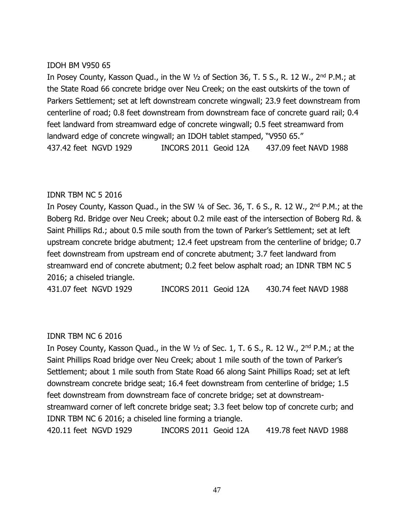# IDOH BM V950 65

In Posey County, Kasson Quad., in the W ½ of Section 36, T. 5 S., R. 12 W., 2nd P.M.; at the State Road 66 concrete bridge over Neu Creek; on the east outskirts of the town of Parkers Settlement; set at left downstream concrete wingwall; 23.9 feet downstream from centerline of road; 0.8 feet downstream from downstream face of concrete guard rail; 0.4 feet landward from streamward edge of concrete wingwall; 0.5 feet streamward from landward edge of concrete wingwall; an IDOH tablet stamped, "V950 65." 437.42 feet NGVD 1929 INCORS 2011 Geoid 12A 437.09 feet NAVD 1988

# IDNR TBM NC 5 2016

In Posey County, Kasson Quad., in the SW 1/4 of Sec. 36, T. 6 S., R. 12 W., 2<sup>nd</sup> P.M.; at the Boberg Rd. Bridge over Neu Creek; about 0.2 mile east of the intersection of Boberg Rd. & Saint Phillips Rd.; about 0.5 mile south from the town of Parker's Settlement; set at left upstream concrete bridge abutment; 12.4 feet upstream from the centerline of bridge; 0.7 feet downstream from upstream end of concrete abutment; 3.7 feet landward from streamward end of concrete abutment; 0.2 feet below asphalt road; an IDNR TBM NC 5 2016; a chiseled triangle.

431.07 feet NGVD 1929 INCORS 2011 Geoid 12A 430.74 feet NAVD 1988

# IDNR TBM NC 6 2016

In Posey County, Kasson Quad., in the W  $\frac{1}{2}$  of Sec. 1, T. 6 S., R. 12 W., 2<sup>nd</sup> P.M.; at the Saint Phillips Road bridge over Neu Creek; about 1 mile south of the town of Parker's Settlement; about 1 mile south from State Road 66 along Saint Phillips Road; set at left downstream concrete bridge seat; 16.4 feet downstream from centerline of bridge; 1.5 feet downstream from downstream face of concrete bridge; set at downstreamstreamward corner of left concrete bridge seat; 3.3 feet below top of concrete curb; and IDNR TBM NC 6 2016; a chiseled line forming a triangle. 420.11 feet NGVD 1929 INCORS 2011 Geoid 12A 419.78 feet NAVD 1988